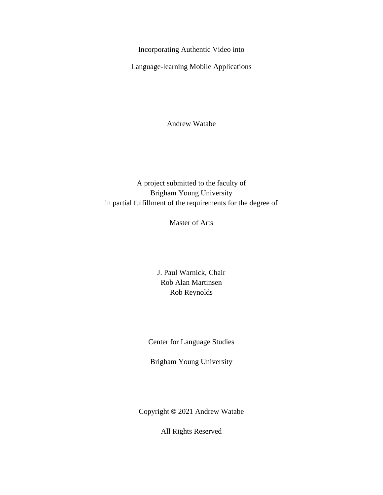Incorporating Authentic Video into

<span id="page-0-0"></span>Language-learning Mobile Applications

Andrew Watabe

# A project submitted to the faculty of Brigham Young University in partial fulfillment of the requirements for the degree of

Master of Arts

J. Paul Warnick, Chair Rob Alan Martinsen Rob Reynolds

Center for Language Studies

Brigham Young University

Copyright © 2021 Andrew Watabe

All Rights Reserved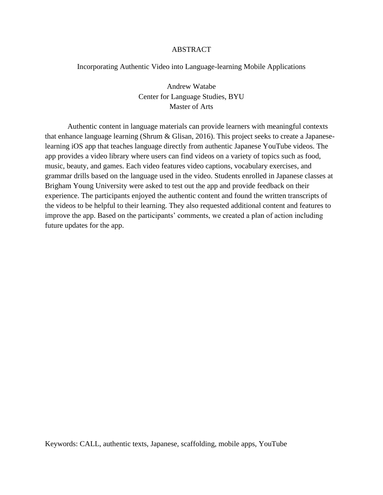# ABSTRACT

## <span id="page-1-0"></span>Incorporating Authentic Video into Language-learning Mobile Applications

Andrew Watabe Center for Language Studies, BYU Master of Arts

Authentic content in language materials can provide learners with meaningful contexts that enhance language learning (Shrum & Glisan, 2016). This project seeks to create a Japaneselearning iOS app that teaches language directly from authentic Japanese YouTube videos. The app provides a video library where users can find videos on a variety of topics such as food, music, beauty, and games. Each video features video captions, vocabulary exercises, and grammar drills based on the language used in the video. Students enrolled in Japanese classes at Brigham Young University were asked to test out the app and provide feedback on their experience. The participants enjoyed the authentic content and found the written transcripts of the videos to be helpful to their learning. They also requested additional content and features to improve the app. Based on the participants' comments, we created a plan of action including future updates for the app.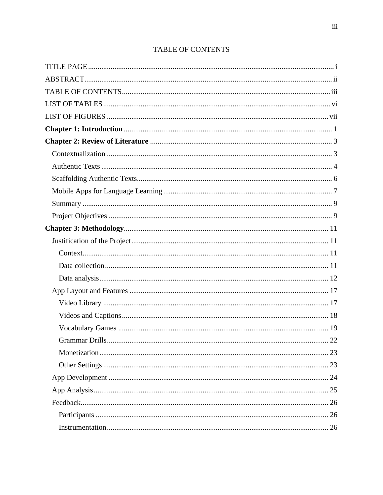<span id="page-2-0"></span>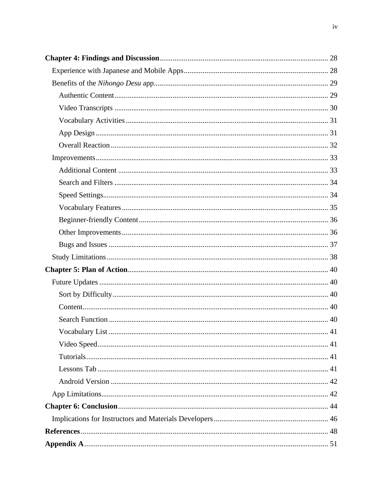| 41 |
|----|
|    |
|    |
|    |
|    |
|    |
|    |
|    |
|    |
|    |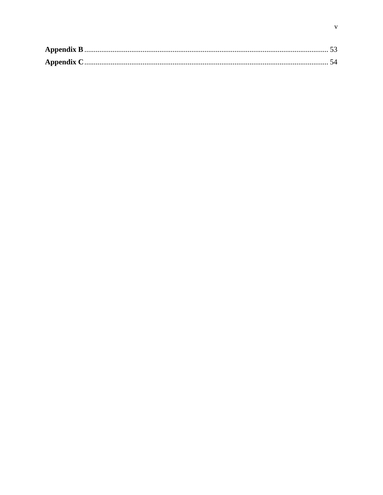<span id="page-4-0"></span>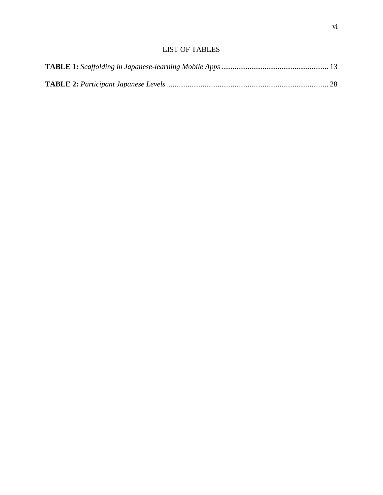# LIST OF TABLES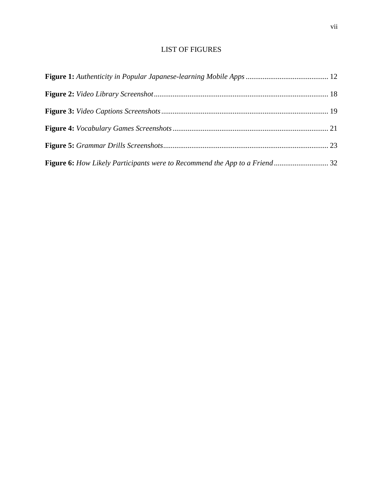# LIST OF FIGURES

<span id="page-6-0"></span>

| Figure 6: How Likely Participants were to Recommend the App to a Friend32 |  |
|---------------------------------------------------------------------------|--|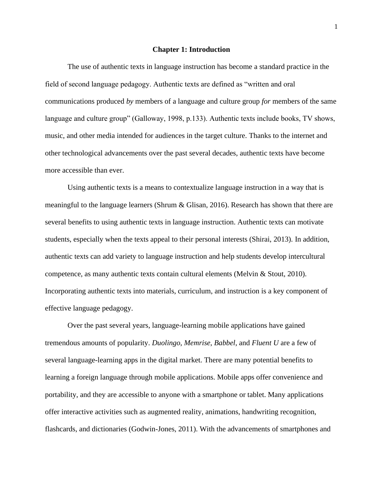#### **Chapter 1: Introduction**

<span id="page-7-0"></span>The use of authentic texts in language instruction has become a standard practice in the field of second language pedagogy. Authentic texts are defined as "written and oral communications produced *by* members of a language and culture group *for* members of the same language and culture group" (Galloway, 1998, p.133). Authentic texts include books, TV shows, music, and other media intended for audiences in the target culture. Thanks to the internet and other technological advancements over the past several decades, authentic texts have become more accessible than ever.

Using authentic texts is a means to contextualize language instruction in a way that is meaningful to the language learners (Shrum & Glisan, 2016). Research has shown that there are several benefits to using authentic texts in language instruction. Authentic texts can motivate students, especially when the texts appeal to their personal interests (Shirai, 2013). In addition, authentic texts can add variety to language instruction and help students develop intercultural competence, as many authentic texts contain cultural elements (Melvin & Stout, 2010). Incorporating authentic texts into materials, curriculum, and instruction is a key component of effective language pedagogy.

Over the past several years, language-learning mobile applications have gained tremendous amounts of popularity. *Duolingo*, *Memrise*, *Babbel*, and *Fluent U* are a few of several language-learning apps in the digital market. There are many potential benefits to learning a foreign language through mobile applications. Mobile apps offer convenience and portability, and they are accessible to anyone with a smartphone or tablet. Many applications offer interactive activities such as augmented reality, animations, handwriting recognition, flashcards, and dictionaries (Godwin-Jones, 2011). With the advancements of smartphones and

1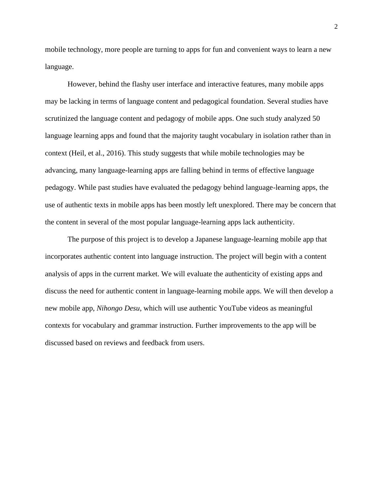mobile technology, more people are turning to apps for fun and convenient ways to learn a new language.

However, behind the flashy user interface and interactive features, many mobile apps may be lacking in terms of language content and pedagogical foundation. Several studies have scrutinized the language content and pedagogy of mobile apps. One such study analyzed 50 language learning apps and found that the majority taught vocabulary in isolation rather than in context (Heil, et al., 2016). This study suggests that while mobile technologies may be advancing, many language-learning apps are falling behind in terms of effective language pedagogy. While past studies have evaluated the pedagogy behind language-learning apps, the use of authentic texts in mobile apps has been mostly left unexplored. There may be concern that the content in several of the most popular language-learning apps lack authenticity.

The purpose of this project is to develop a Japanese language-learning mobile app that incorporates authentic content into language instruction. The project will begin with a content analysis of apps in the current market. We will evaluate the authenticity of existing apps and discuss the need for authentic content in language-learning mobile apps. We will then develop a new mobile app, *Nihongo Desu*, which will use authentic YouTube videos as meaningful contexts for vocabulary and grammar instruction. Further improvements to the app will be discussed based on reviews and feedback from users.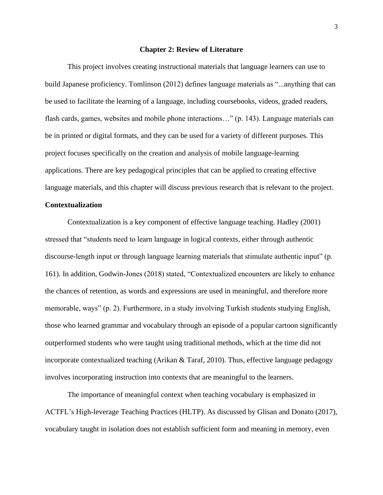#### **Chapter 2: Review of Literature**

<span id="page-9-0"></span>This project involves creating instructional materials that language learners can use to build Japanese proficiency. Tomlinson (2012) defines language materials as "...anything that can be used to facilitate the learning of a language, including coursebooks, videos, graded readers, flash cards, games, websites and mobile phone interactions…" (p. 143). Language materials can be in printed or digital formats, and they can be used for a variety of different purposes. This project focuses specifically on the creation and analysis of mobile language-learning applications. There are key pedagogical principles that can be applied to creating effective language materials, and this chapter will discuss previous research that is relevant to the project.

### <span id="page-9-1"></span>**Contextualization**

Contextualization is a key component of effective language teaching. Hadley (2001) stressed that "students need to learn language in logical contexts, either through authentic discourse-length input or through language learning materials that stimulate authentic input" (p. 161). In addition, Godwin-Jones (2018) stated, "Contextualized encounters are likely to enhance the chances of retention, as words and expressions are used in meaningful, and therefore more memorable, ways" (p. 2). Furthermore, in a study involving Turkish students studying English, those who learned grammar and vocabulary through an episode of a popular cartoon significantly outperformed students who were taught using traditional methods, which at the time did not incorporate contextualized teaching (Arikan & Taraf, 2010). Thus, effective language pedagogy involves incorporating instruction into contexts that are meaningful to the learners.

The importance of meaningful context when teaching vocabulary is emphasized in ACTFL's High-leverage Teaching Practices (HLTP). As discussed by Glisan and Donato (2017), vocabulary taught in isolation does not establish sufficient form and meaning in memory, even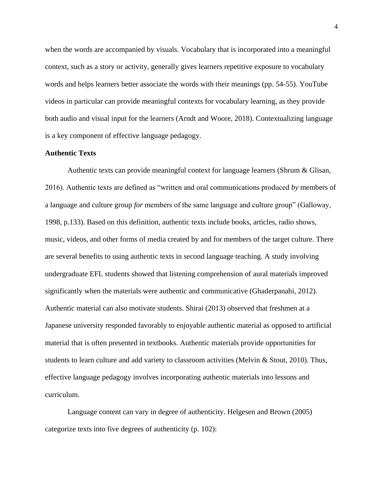when the words are accompanied by visuals. Vocabulary that is incorporated into a meaningful context, such as a story or activity, generally gives learners repetitive exposure to vocabulary words and helps learners better associate the words with their meanings (pp. 54-55). YouTube videos in particular can provide meaningful contexts for vocabulary learning, as they provide both audio and visual input for the learners (Arndt and Woore, 2018). Contextualizing language is a key component of effective language pedagogy.

### <span id="page-10-0"></span>**Authentic Texts**

Authentic texts can provide meaningful context for language learners (Shrum & Glisan, 2016). Authentic texts are defined as "written and oral communications produced *by* members of a language and culture group *for* members of the same language and culture group" (Galloway, 1998, p.133). Based on this definition, authentic texts include books, articles, radio shows, music, videos, and other forms of media created by and for members of the target culture. There are several benefits to using authentic texts in second language teaching. A study involving undergraduate EFL students showed that listening comprehension of aural materials improved significantly when the materials were authentic and communicative (Ghaderpanahi, 2012). Authentic material can also motivate students. Shirai (2013) observed that freshmen at a Japanese university responded favorably to enjoyable authentic material as opposed to artificial material that is often presented in textbooks. Authentic materials provide opportunities for students to learn culture and add variety to classroom activities (Melvin & Stout, 2010). Thus, effective language pedagogy involves incorporating authentic materials into lessons and curriculum.

Language content can vary in degree of authenticity. Helgesen and Brown (2005) categorize texts into five degrees of authenticity (p. 102):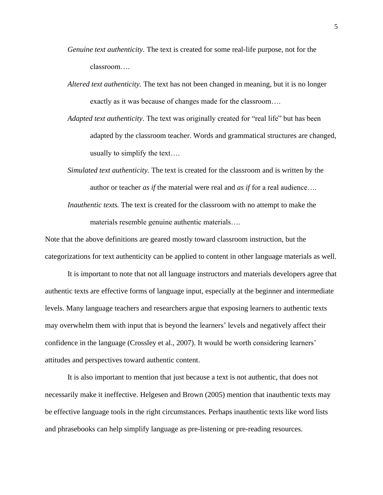- *Genuine text authenticity.* The text is created for some real-life purpose, not for the classroom….
- *Altered text authenticity.* The text has not been changed in meaning, but it is no longer exactly as it was because of changes made for the classroom….
- *Adapted text authenticity.* The text was originally created for "real life" but has been adapted by the classroom teacher. Words and grammatical structures are changed, usually to simplify the text….
- *Simulated text authenticity.* The text is created for the classroom and is written by the author or teacher *as if* the material were real and *as if* for a real audience….
- *Inauthentic texts.* The text is created for the classroom with no attempt to make the materials resemble genuine authentic materials….

Note that the above definitions are geared mostly toward classroom instruction, but the categorizations for text authenticity can be applied to content in other language materials as well.

It is important to note that not all language instructors and materials developers agree that authentic texts are effective forms of language input, especially at the beginner and intermediate levels. Many language teachers and researchers argue that exposing learners to authentic texts may overwhelm them with input that is beyond the learners' levels and negatively affect their confidence in the language (Crossley et al., 2007). It would be worth considering learners' attitudes and perspectives toward authentic content.

It is also important to mention that just because a text is not authentic, that does not necessarily make it ineffective. Helgesen and Brown (2005) mention that inauthentic texts may be effective language tools in the right circumstances. Perhaps inauthentic texts like word lists and phrasebooks can help simplify language as pre-listening or pre-reading resources.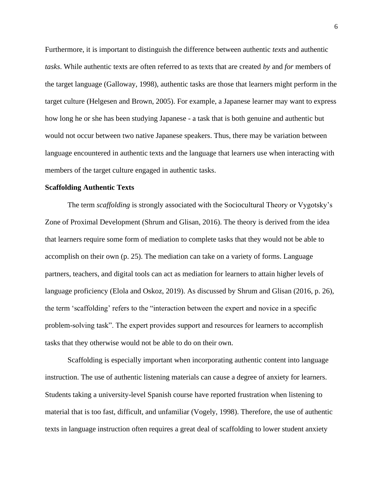Furthermore, it is important to distinguish the difference between authentic *texts* and authentic *tasks*. While authentic texts are often referred to as texts that are created *by* and *for* members of the target language (Galloway, 1998), authentic tasks are those that learners might perform in the target culture (Helgesen and Brown, 2005). For example, a Japanese learner may want to express how long he or she has been studying Japanese - a task that is both genuine and authentic but would not occur between two native Japanese speakers. Thus, there may be variation between language encountered in authentic texts and the language that learners use when interacting with members of the target culture engaged in authentic tasks.

#### <span id="page-12-0"></span>**Scaffolding Authentic Texts**

The term *scaffolding* is strongly associated with the Sociocultural Theory or Vygotsky's Zone of Proximal Development (Shrum and Glisan, 2016). The theory is derived from the idea that learners require some form of mediation to complete tasks that they would not be able to accomplish on their own (p. 25). The mediation can take on a variety of forms. Language partners, teachers, and digital tools can act as mediation for learners to attain higher levels of language proficiency (Elola and Oskoz, 2019). As discussed by Shrum and Glisan (2016, p. 26), the term 'scaffolding' refers to the "interaction between the expert and novice in a specific problem-solving task". The expert provides support and resources for learners to accomplish tasks that they otherwise would not be able to do on their own.

Scaffolding is especially important when incorporating authentic content into language instruction. The use of authentic listening materials can cause a degree of anxiety for learners. Students taking a university-level Spanish course have reported frustration when listening to material that is too fast, difficult, and unfamiliar (Vogely, 1998). Therefore, the use of authentic texts in language instruction often requires a great deal of scaffolding to lower student anxiety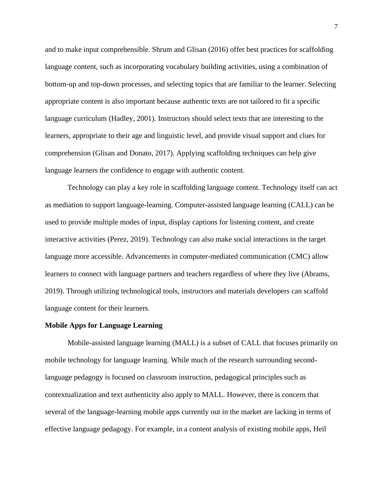and to make input comprehensible. Shrum and Glisan (2016) offer best practices for scaffolding language content, such as incorporating vocabulary building activities, using a combination of bottom-up and top-down processes, and selecting topics that are familiar to the learner. Selecting appropriate content is also important because authentic texts are not tailored to fit a specific language curriculum (Hadley, 2001). Instructors should select texts that are interesting to the learners, appropriate to their age and linguistic level, and provide visual support and clues for comprehension (Glisan and Donato, 2017). Applying scaffolding techniques can help give language learners the confidence to engage with authentic content.

Technology can play a key role in scaffolding language content. Technology itself can act as mediation to support language-learning. Computer-assisted language learning (CALL) can be used to provide multiple modes of input, display captions for listening content, and create interactive activities (Perez, 2019). Technology can also make social interactions in the target language more accessible. Advancements in computer-mediated communication (CMC) allow learners to connect with language partners and teachers regardless of where they live (Abrams, 2019). Through utilizing technological tools, instructors and materials developers can scaffold language content for their learners.

### <span id="page-13-0"></span>**Mobile Apps for Language Learning**

Mobile-assisted language learning (MALL) is a subset of CALL that focuses primarily on mobile technology for language learning. While much of the research surrounding secondlanguage pedagogy is focused on classroom instruction, pedagogical principles such as contextualization and text authenticity also apply to MALL. However, there is concern that several of the language-learning mobile apps currently out in the market are lacking in terms of effective language pedagogy. For example, in a content analysis of existing mobile apps, Heil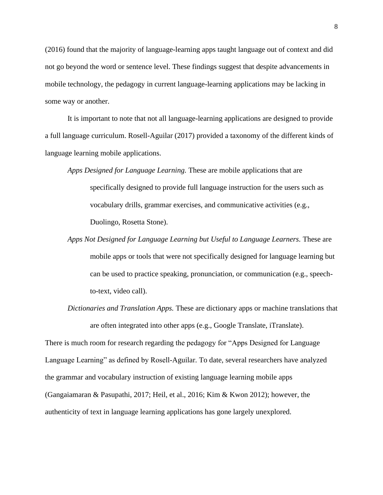(2016) found that the majority of language-learning apps taught language out of context and did not go beyond the word or sentence level. These findings suggest that despite advancements in mobile technology, the pedagogy in current language-learning applications may be lacking in some way or another.

It is important to note that not all language-learning applications are designed to provide a full language curriculum. Rosell-Aguilar (2017) provided a taxonomy of the different kinds of language learning mobile applications.

- *Apps Designed for Language Learning.* These are mobile applications that are specifically designed to provide full language instruction for the users such as vocabulary drills, grammar exercises, and communicative activities (e.g., Duolingo, Rosetta Stone).
- *Apps Not Designed for Language Learning but Useful to Language Learners.* These are mobile apps or tools that were not specifically designed for language learning but can be used to practice speaking, pronunciation, or communication (e.g., speechto-text, video call).
- *Dictionaries and Translation Apps.* These are dictionary apps or machine translations that are often integrated into other apps (e.g., Google Translate, iTranslate).

<span id="page-14-0"></span>There is much room for research regarding the pedagogy for "Apps Designed for Language Language Learning" as defined by Rosell-Aguilar. To date, several researchers have analyzed the grammar and vocabulary instruction of existing language learning mobile apps (Gangaiamaran & Pasupathi, 2017; Heil, et al., 2016; Kim & Kwon 2012); however, the authenticity of text in language learning applications has gone largely unexplored.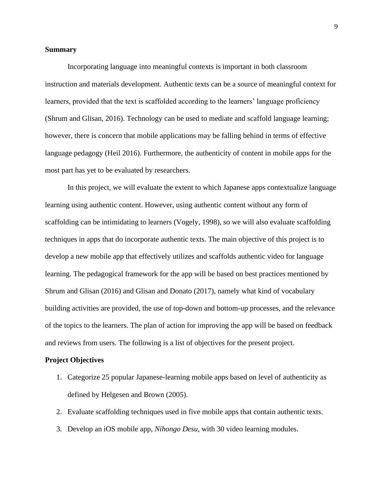### **Summary**

Incorporating language into meaningful contexts is important in both classroom instruction and materials development. Authentic texts can be a source of meaningful context for learners, provided that the text is scaffolded according to the learners' language proficiency (Shrum and Glisan, 2016). Technology can be used to mediate and scaffold language learning; however, there is concern that mobile applications may be falling behind in terms of effective language pedagogy (Heil 2016). Furthermore, the authenticity of content in mobile apps for the most part has yet to be evaluated by researchers.

In this project, we will evaluate the extent to which Japanese apps contextualize language learning using authentic content. However, using authentic content without any form of scaffolding can be intimidating to learners (Vogely, 1998), so we will also evaluate scaffolding techniques in apps that do incorporate authentic texts. The main objective of this project is to develop a new mobile app that effectively utilizes and scaffolds authentic video for language learning. The pedagogical framework for the app will be based on best practices mentioned by Shrum and Glisan (2016) and Glisan and Donato (2017), namely what kind of vocabulary building activities are provided, the use of top-down and bottom-up processes, and the relevance of the topics to the learners. The plan of action for improving the app will be based on feedback and reviews from users. The following is a list of objectives for the present project.

#### <span id="page-15-0"></span>**Project Objectives**

- 1. Categorize 25 popular Japanese-learning mobile apps based on level of authenticity as defined by Helgesen and Brown (2005).
- 2. Evaluate scaffolding techniques used in five mobile apps that contain authentic texts.
- 3. Develop an iOS mobile app, *Nihongo Desu*, with 30 video learning modules.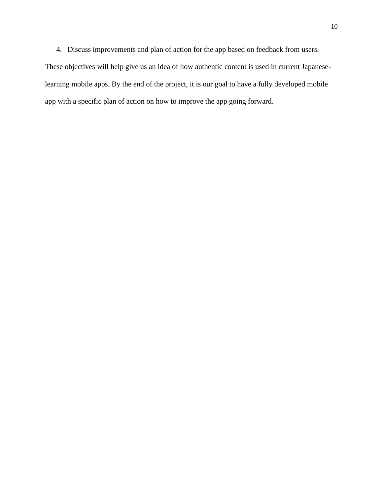4. Discuss improvements and plan of action for the app based on feedback from users.

These objectives will help give us an idea of how authentic content is used in current Japaneselearning mobile apps. By the end of the project, it is our goal to have a fully developed mobile app with a specific plan of action on how to improve the app going forward.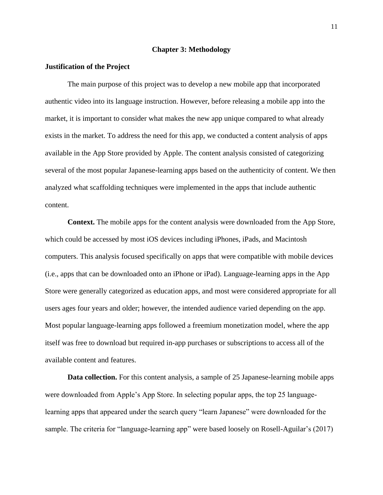#### **Chapter 3: Methodology**

### <span id="page-17-1"></span><span id="page-17-0"></span>**Justification of the Project**

The main purpose of this project was to develop a new mobile app that incorporated authentic video into its language instruction. However, before releasing a mobile app into the market, it is important to consider what makes the new app unique compared to what already exists in the market. To address the need for this app, we conducted a content analysis of apps available in the App Store provided by Apple. The content analysis consisted of categorizing several of the most popular Japanese-learning apps based on the authenticity of content. We then analyzed what scaffolding techniques were implemented in the apps that include authentic content.

<span id="page-17-2"></span>**Context.** The mobile apps for the content analysis were downloaded from the App Store, which could be accessed by most iOS devices including iPhones, iPads, and Macintosh computers. This analysis focused specifically on apps that were compatible with mobile devices (i.e., apps that can be downloaded onto an iPhone or iPad). Language-learning apps in the App Store were generally categorized as education apps, and most were considered appropriate for all users ages four years and older; however, the intended audience varied depending on the app. Most popular language-learning apps followed a freemium monetization model, where the app itself was free to download but required in-app purchases or subscriptions to access all of the available content and features.

<span id="page-17-3"></span>**Data collection.** For this content analysis, a sample of 25 Japanese-learning mobile apps were downloaded from Apple's App Store. In selecting popular apps, the top 25 languagelearning apps that appeared under the search query "learn Japanese" were downloaded for the sample. The criteria for "language-learning app" were based loosely on Rosell-Aguilar's (2017)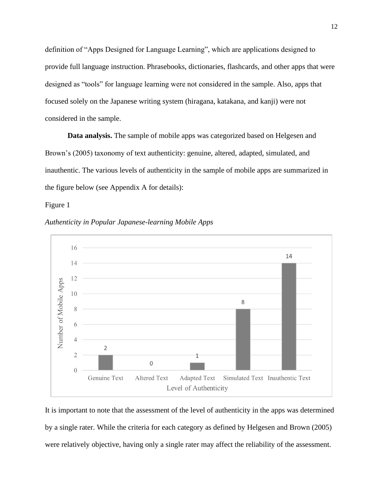definition of "Apps Designed for Language Learning", which are applications designed to provide full language instruction. Phrasebooks, dictionaries, flashcards, and other apps that were designed as "tools" for language learning were not considered in the sample. Also, apps that focused solely on the Japanese writing system (hiragana, katakana, and kanji) were not considered in the sample.

<span id="page-18-0"></span>**Data analysis.** The sample of mobile apps was categorized based on Helgesen and Brown's (2005) taxonomy of text authenticity: genuine, altered, adapted, simulated, and inauthentic. The various levels of authenticity in the sample of mobile apps are summarized in the figure below (see Appendix A for details):

Figure 1



<span id="page-18-1"></span>*Authenticity in Popular Japanese-learning Mobile Apps*

It is important to note that the assessment of the level of authenticity in the apps was determined by a single rater. While the criteria for each category as defined by Helgesen and Brown (2005) were relatively objective, having only a single rater may affect the reliability of the assessment.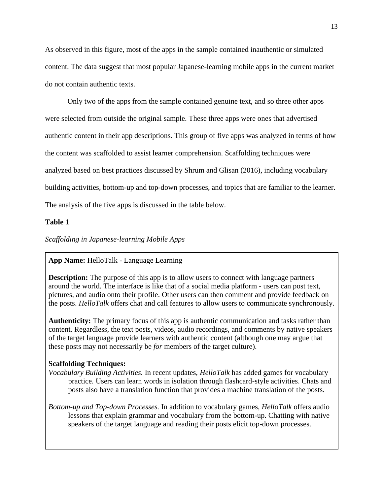As observed in this figure, most of the apps in the sample contained inauthentic or simulated content. The data suggest that most popular Japanese-learning mobile apps in the current market do not contain authentic texts.

Only two of the apps from the sample contained genuine text, and so three other apps were selected from outside the original sample. These three apps were ones that advertised authentic content in their app descriptions. This group of five apps was analyzed in terms of how the content was scaffolded to assist learner comprehension. Scaffolding techniques were analyzed based on best practices discussed by Shrum and Glisan (2016), including vocabulary building activities, bottom-up and top-down processes, and topics that are familiar to the learner. The analysis of the five apps is discussed in the table below.

### **Table 1**

<span id="page-19-0"></span>*Scaffolding in Japanese-learning Mobile Apps*

## **App Name:** HelloTalk - Language Learning

**Description:** The purpose of this app is to allow users to connect with language partners around the world. The interface is like that of a social media platform - users can post text, pictures, and audio onto their profile. Other users can then comment and provide feedback on the posts. *HelloTalk* offers chat and call features to allow users to communicate synchronously.

**Authenticity:** The primary focus of this app is authentic communication and tasks rather than content. Regardless, the text posts, videos, audio recordings, and comments by native speakers of the target language provide learners with authentic content (although one may argue that these posts may not necessarily be *for* members of the target culture).

## **Scaffolding Techniques:**

- *Vocabulary Building Activities.* In recent updates, *HelloTalk* has added games for vocabulary practice. Users can learn words in isolation through flashcard-style activities. Chats and posts also have a translation function that provides a machine translation of the posts.
- *Bottom-up and Top-down Processes.* In addition to vocabulary games, *HelloTalk* offers audio lessons that explain grammar and vocabulary from the bottom-up. Chatting with native speakers of the target language and reading their posts elicit top-down processes.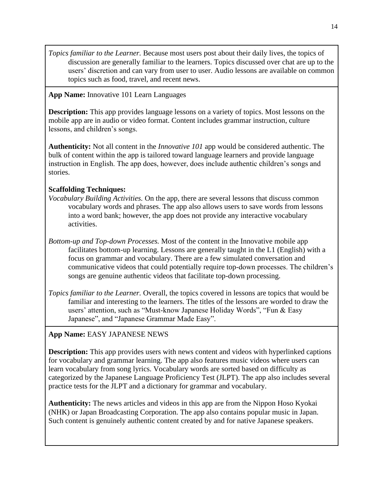*Topics familiar to the Learner.* Because most users post about their daily lives, the topics of discussion are generally familiar to the learners. Topics discussed over chat are up to the users' discretion and can vary from user to user. Audio lessons are available on common topics such as food, travel, and recent news.

# **App Name:** Innovative 101 Learn Languages

**Description:** This app provides language lessons on a variety of topics. Most lessons on the mobile app are in audio or video format. Content includes grammar instruction, culture lessons, and children's songs.

**Authenticity:** Not all content in the *Innovative 101* app would be considered authentic. The bulk of content within the app is tailored toward language learners and provide language instruction in English. The app does, however, does include authentic children's songs and stories.

# **Scaffolding Techniques:**

- *Vocabulary Building Activities.* On the app, there are several lessons that discuss common vocabulary words and phrases. The app also allows users to save words from lessons into a word bank; however, the app does not provide any interactive vocabulary activities.
- *Bottom-up and Top-down Processes.* Most of the content in the Innovative mobile app facilitates bottom-up learning. Lessons are generally taught in the L1 (English) with a focus on grammar and vocabulary. There are a few simulated conversation and communicative videos that could potentially require top-down processes. The children's songs are genuine authentic videos that facilitate top-down processing.
- *Topics familiar to the Learner.* Overall, the topics covered in lessons are topics that would be familiar and interesting to the learners. The titles of the lessons are worded to draw the users' attention, such as "Must-know Japanese Holiday Words", "Fun & Easy Japanese", and "Japanese Grammar Made Easy".

# **App Name:** EASY JAPANESE NEWS

**Description:** This app provides users with news content and videos with hyperlinked captions for vocabulary and grammar learning. The app also features music videos where users can learn vocabulary from song lyrics. Vocabulary words are sorted based on difficulty as categorized by the Japanese Language Proficiency Test (JLPT). The app also includes several practice tests for the JLPT and a dictionary for grammar and vocabulary.

**Authenticity:** The news articles and videos in this app are from the Nippon Hoso Kyokai (NHK) or Japan Broadcasting Corporation. The app also contains popular music in Japan. Such content is genuinely authentic content created by and for native Japanese speakers.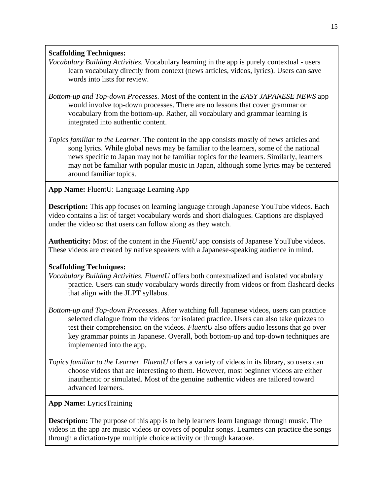# **Scaffolding Techniques:**

- *Vocabulary Building Activities.* Vocabulary learning in the app is purely contextual users learn vocabulary directly from context (news articles, videos, lyrics). Users can save words into lists for review.
- *Bottom-up and Top-down Processes.* Most of the content in the *EASY JAPANESE NEWS* app would involve top-down processes. There are no lessons that cover grammar or vocabulary from the bottom-up. Rather, all vocabulary and grammar learning is integrated into authentic content.
- *Topics familiar to the Learner.* The content in the app consists mostly of news articles and song lyrics. While global news may be familiar to the learners, some of the national news specific to Japan may not be familiar topics for the learners. Similarly, learners may not be familiar with popular music in Japan, although some lyrics may be centered around familiar topics.

**App Name:** FluentU: Language Learning App

**Description:** This app focuses on learning language through Japanese YouTube videos. Each video contains a list of target vocabulary words and short dialogues. Captions are displayed under the video so that users can follow along as they watch.

**Authenticity:** Most of the content in the *FluentU* app consists of Japanese YouTube videos. These videos are created by native speakers with a Japanese-speaking audience in mind.

# **Scaffolding Techniques:**

- *Vocabulary Building Activities. FluentU* offers both contextualized and isolated vocabulary practice. Users can study vocabulary words directly from videos or from flashcard decks that align with the JLPT syllabus.
- *Bottom-up and Top-down Processes.* After watching full Japanese videos, users can practice selected dialogue from the videos for isolated practice. Users can also take quizzes to test their comprehension on the videos. *FluentU* also offers audio lessons that go over key grammar points in Japanese. Overall, both bottom-up and top-down techniques are implemented into the app.
- *Topics familiar to the Learner. FluentU* offers a variety of videos in its library, so users can choose videos that are interesting to them. However, most beginner videos are either inauthentic or simulated. Most of the genuine authentic videos are tailored toward advanced learners.

# **App Name:** LyricsTraining

**Description:** The purpose of this app is to help learners learn language through music. The videos in the app are music videos or covers of popular songs. Learners can practice the songs through a dictation-type multiple choice activity or through karaoke.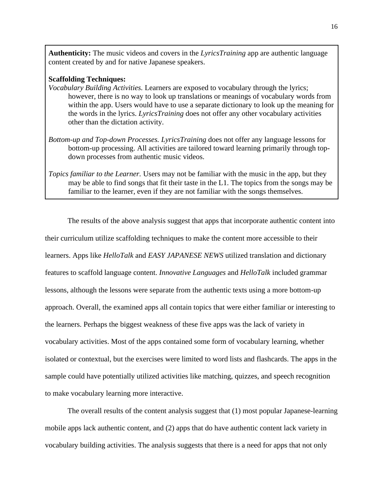**Authenticity:** The music videos and covers in the *LyricsTraining* app are authentic language content created by and for native Japanese speakers.

## **Scaffolding Techniques:**

- *Vocabulary Building Activities.* Learners are exposed to vocabulary through the lyrics; however, there is no way to look up translations or meanings of vocabulary words from within the app. Users would have to use a separate dictionary to look up the meaning for the words in the lyrics. *LyricsTraining* does not offer any other vocabulary activities other than the dictation activity.
- *Bottom-up and Top-down Processes. LyricsTraining* does not offer any language lessons for bottom-up processing. All activities are tailored toward learning primarily through topdown processes from authentic music videos.
- *Topics familiar to the Learner.* Users may not be familiar with the music in the app, but they may be able to find songs that fit their taste in the L1. The topics from the songs may be familiar to the learner, even if they are not familiar with the songs themselves.

The results of the above analysis suggest that apps that incorporate authentic content into their curriculum utilize scaffolding techniques to make the content more accessible to their learners. Apps like *HelloTalk* and *EASY JAPANESE NEWS* utilized translation and dictionary features to scaffold language content. *Innovative Languages* and *HelloTalk* included grammar lessons, although the lessons were separate from the authentic texts using a more bottom-up approach. Overall, the examined apps all contain topics that were either familiar or interesting to the learners. Perhaps the biggest weakness of these five apps was the lack of variety in vocabulary activities. Most of the apps contained some form of vocabulary learning, whether isolated or contextual, but the exercises were limited to word lists and flashcards. The apps in the sample could have potentially utilized activities like matching, quizzes, and speech recognition to make vocabulary learning more interactive.

The overall results of the content analysis suggest that (1) most popular Japanese-learning mobile apps lack authentic content, and (2) apps that do have authentic content lack variety in vocabulary building activities. The analysis suggests that there is a need for apps that not only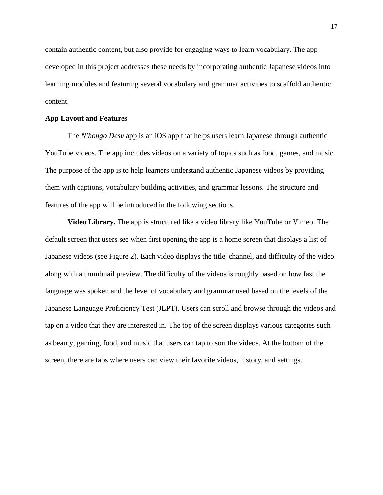contain authentic content, but also provide for engaging ways to learn vocabulary. The app developed in this project addresses these needs by incorporating authentic Japanese videos into learning modules and featuring several vocabulary and grammar activities to scaffold authentic content.

### <span id="page-23-0"></span>**App Layout and Features**

The *Nihongo Desu* app is an iOS app that helps users learn Japanese through authentic YouTube videos. The app includes videos on a variety of topics such as food, games, and music. The purpose of the app is to help learners understand authentic Japanese videos by providing them with captions, vocabulary building activities, and grammar lessons. The structure and features of the app will be introduced in the following sections.

<span id="page-23-1"></span>**Video Library.** The app is structured like a video library like YouTube or Vimeo. The default screen that users see when first opening the app is a home screen that displays a list of Japanese videos (see Figure 2). Each video displays the title, channel, and difficulty of the video along with a thumbnail preview. The difficulty of the videos is roughly based on how fast the language was spoken and the level of vocabulary and grammar used based on the levels of the Japanese Language Proficiency Test (JLPT). Users can scroll and browse through the videos and tap on a video that they are interested in. The top of the screen displays various categories such as beauty, gaming, food, and music that users can tap to sort the videos. At the bottom of the screen, there are tabs where users can view their favorite videos, history, and settings.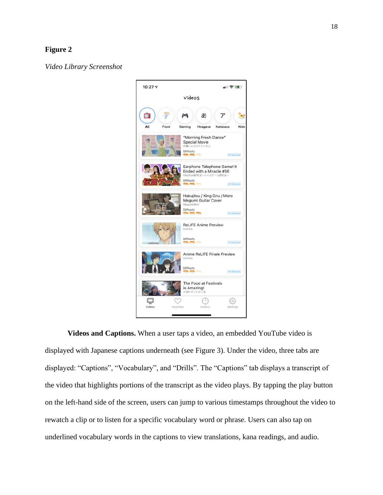# **Figure 2**

<span id="page-24-1"></span>*Video Library Screenshot*



<span id="page-24-0"></span>**Videos and Captions.** When a user taps a video, an embedded YouTube video is displayed with Japanese captions underneath (see Figure 3). Under the video, three tabs are displayed: "Captions", "Vocabulary", and "Drills". The "Captions" tab displays a transcript of the video that highlights portions of the transcript as the video plays. By tapping the play button on the left-hand side of the screen, users can jump to various timestamps throughout the video to rewatch a clip or to listen for a specific vocabulary word or phrase. Users can also tap on underlined vocabulary words in the captions to view translations, kana readings, and audio.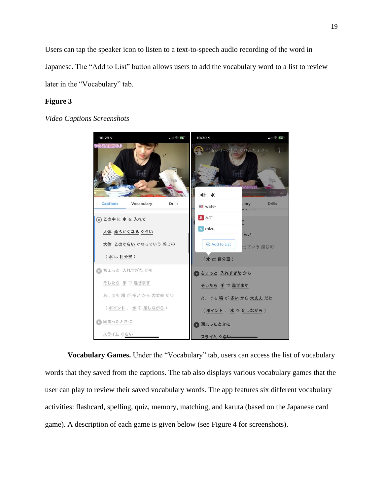Users can tap the speaker icon to listen to a text-to-speech audio recording of the word in Japanese. The "Add to List" button allows users to add the vocabulary word to a list to review later in the "Vocabulary" tab.

## **Figure 3**

<span id="page-25-1"></span>*Video Captions Screenshots*



<span id="page-25-0"></span>**Vocabulary Games.** Under the "Vocabulary" tab, users can access the list of vocabulary words that they saved from the captions. The tab also displays various vocabulary games that the user can play to review their saved vocabulary words. The app features six different vocabulary activities: flashcard, spelling, quiz, memory, matching, and karuta (based on the Japanese card game). A description of each game is given below (see Figure 4 for screenshots).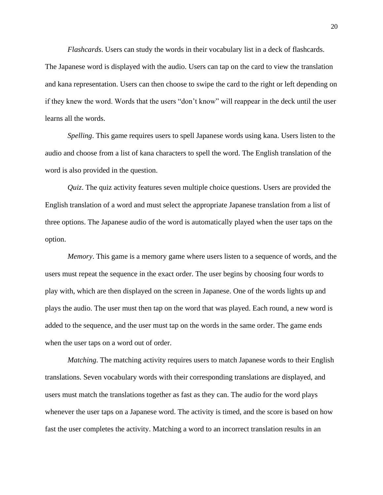*Flashcards*. Users can study the words in their vocabulary list in a deck of flashcards.

The Japanese word is displayed with the audio. Users can tap on the card to view the translation and kana representation. Users can then choose to swipe the card to the right or left depending on if they knew the word. Words that the users "don't know" will reappear in the deck until the user learns all the words.

*Spelling*. This game requires users to spell Japanese words using kana. Users listen to the audio and choose from a list of kana characters to spell the word. The English translation of the word is also provided in the question.

*Quiz*. The quiz activity features seven multiple choice questions. Users are provided the English translation of a word and must select the appropriate Japanese translation from a list of three options. The Japanese audio of the word is automatically played when the user taps on the option.

*Memory*. This game is a memory game where users listen to a sequence of words, and the users must repeat the sequence in the exact order. The user begins by choosing four words to play with, which are then displayed on the screen in Japanese. One of the words lights up and plays the audio. The user must then tap on the word that was played. Each round, a new word is added to the sequence, and the user must tap on the words in the same order. The game ends when the user taps on a word out of order.

*Matching*. The matching activity requires users to match Japanese words to their English translations. Seven vocabulary words with their corresponding translations are displayed, and users must match the translations together as fast as they can. The audio for the word plays whenever the user taps on a Japanese word. The activity is timed, and the score is based on how fast the user completes the activity. Matching a word to an incorrect translation results in an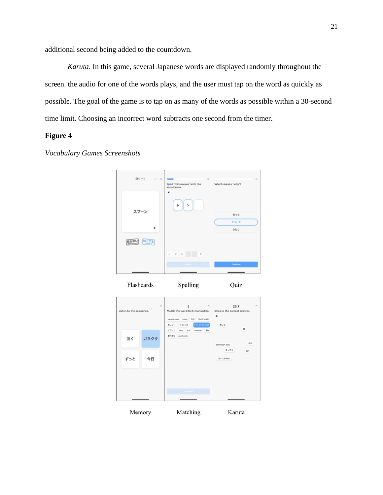additional second being added to the countdown.

*Karuta*. In this game, several Japanese words are displayed randomly throughout the screen. the audio for one of the words plays, and the user must tap on the word as quickly as possible. The goal of the game is to tap on as many of the words as possible within a 30-second time limit. Choosing an incorrect word subtracts one second from the timer.

# **Figure 4**

# <span id="page-27-0"></span>*Vocabulary Games Screenshots*



Flashcards Spelling

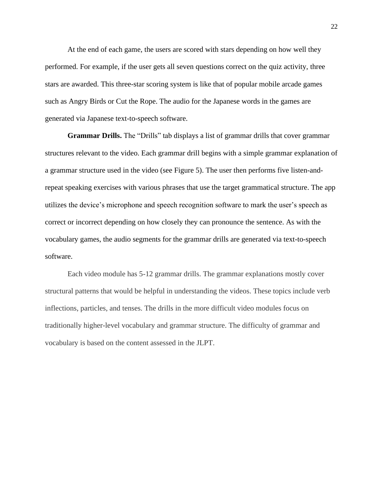At the end of each game, the users are scored with stars depending on how well they performed. For example, if the user gets all seven questions correct on the quiz activity, three stars are awarded. This three-star scoring system is like that of popular mobile arcade games such as Angry Birds or Cut the Rope. The audio for the Japanese words in the games are generated via Japanese text-to-speech software.

<span id="page-28-0"></span>**Grammar Drills.** The "Drills" tab displays a list of grammar drills that cover grammar structures relevant to the video. Each grammar drill begins with a simple grammar explanation of a grammar structure used in the video (see Figure 5). The user then performs five listen-andrepeat speaking exercises with various phrases that use the target grammatical structure. The app utilizes the device's microphone and speech recognition software to mark the user's speech as correct or incorrect depending on how closely they can pronounce the sentence. As with the vocabulary games, the audio segments for the grammar drills are generated via text-to-speech software.

Each video module has 5-12 grammar drills. The grammar explanations mostly cover structural patterns that would be helpful in understanding the videos. These topics include verb inflections, particles, and tenses. The drills in the more difficult video modules focus on traditionally higher-level vocabulary and grammar structure. The difficulty of grammar and vocabulary is based on the content assessed in the JLPT.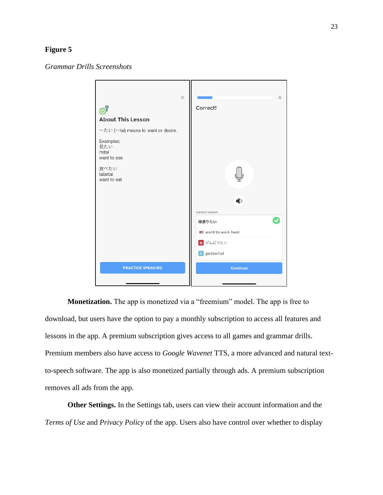## **Figure 5**

<span id="page-29-2"></span>*Grammar Drills Screenshots*



<span id="page-29-0"></span>**Monetization.** The app is monetized via a "freemium" model. The app is free to download, but users have the option to pay a monthly subscription to access all features and lessons in the app. A premium subscription gives access to all games and grammar drills. Premium members also have access to *Google Wavenet* TTS, a more advanced and natural textto-speech software. The app is also monetized partially through ads. A premium subscription removes all ads from the app.

<span id="page-29-1"></span>**Other Settings.** In the Settings tab, users can view their account information and the *Terms of Use* and *Privacy Policy* of the app. Users also have control over whether to display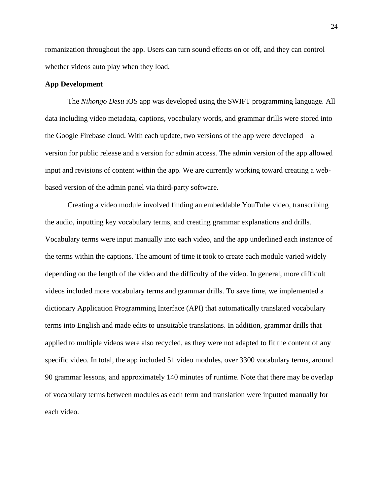romanization throughout the app. Users can turn sound effects on or off, and they can control whether videos auto play when they load.

### <span id="page-30-0"></span>**App Development**

The *Nihongo Desu* iOS app was developed using the SWIFT programming language. All data including video metadata, captions, vocabulary words, and grammar drills were stored into the Google Firebase cloud. With each update, two versions of the app were developed  $- a$ version for public release and a version for admin access. The admin version of the app allowed input and revisions of content within the app. We are currently working toward creating a webbased version of the admin panel via third-party software.

Creating a video module involved finding an embeddable YouTube video, transcribing the audio, inputting key vocabulary terms, and creating grammar explanations and drills. Vocabulary terms were input manually into each video, and the app underlined each instance of the terms within the captions. The amount of time it took to create each module varied widely depending on the length of the video and the difficulty of the video. In general, more difficult videos included more vocabulary terms and grammar drills. To save time, we implemented a dictionary Application Programming Interface (API) that automatically translated vocabulary terms into English and made edits to unsuitable translations. In addition, grammar drills that applied to multiple videos were also recycled, as they were not adapted to fit the content of any specific video. In total, the app included 51 video modules, over 3300 vocabulary terms, around 90 grammar lessons, and approximately 140 minutes of runtime. Note that there may be overlap of vocabulary terms between modules as each term and translation were inputted manually for each video.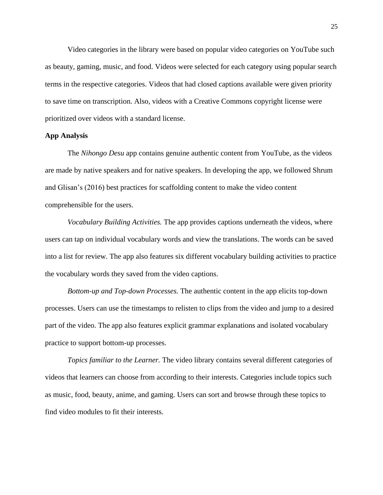Video categories in the library were based on popular video categories on YouTube such as beauty, gaming, music, and food. Videos were selected for each category using popular search terms in the respective categories. Videos that had closed captions available were given priority to save time on transcription. Also, videos with a Creative Commons copyright license were prioritized over videos with a standard license.

### <span id="page-31-0"></span>**App Analysis**

The *Nihongo Desu* app contains genuine authentic content from YouTube, as the videos are made by native speakers and for native speakers. In developing the app, we followed Shrum and Glisan's (2016) best practices for scaffolding content to make the video content comprehensible for the users.

*Vocabulary Building Activities.* The app provides captions underneath the videos, where users can tap on individual vocabulary words and view the translations. The words can be saved into a list for review. The app also features six different vocabulary building activities to practice the vocabulary words they saved from the video captions.

*Bottom-up and Top-down Processes.* The authentic content in the app elicits top-down processes. Users can use the timestamps to relisten to clips from the video and jump to a desired part of the video. The app also features explicit grammar explanations and isolated vocabulary practice to support bottom-up processes.

*Topics familiar to the Learner.* The video library contains several different categories of videos that learners can choose from according to their interests. Categories include topics such as music, food, beauty, anime, and gaming. Users can sort and browse through these topics to find video modules to fit their interests.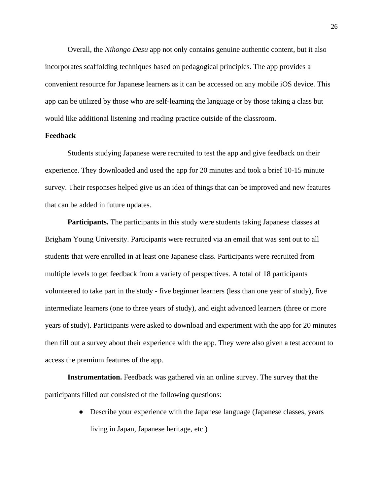Overall, the *Nihongo Desu* app not only contains genuine authentic content, but it also incorporates scaffolding techniques based on pedagogical principles. The app provides a convenient resource for Japanese learners as it can be accessed on any mobile iOS device. This app can be utilized by those who are self-learning the language or by those taking a class but would like additional listening and reading practice outside of the classroom.

### <span id="page-32-0"></span>**Feedback**

Students studying Japanese were recruited to test the app and give feedback on their experience. They downloaded and used the app for 20 minutes and took a brief 10-15 minute survey. Their responses helped give us an idea of things that can be improved and new features that can be added in future updates.

<span id="page-32-1"></span>**Participants.** The participants in this study were students taking Japanese classes at Brigham Young University. Participants were recruited via an email that was sent out to all students that were enrolled in at least one Japanese class. Participants were recruited from multiple levels to get feedback from a variety of perspectives. A total of 18 participants volunteered to take part in the study - five beginner learners (less than one year of study), five intermediate learners (one to three years of study), and eight advanced learners (three or more years of study). Participants were asked to download and experiment with the app for 20 minutes then fill out a survey about their experience with the app. They were also given a test account to access the premium features of the app.

<span id="page-32-2"></span>**Instrumentation.** Feedback was gathered via an online survey. The survey that the participants filled out consisted of the following questions:

> ● Describe your experience with the Japanese language (Japanese classes, years living in Japan, Japanese heritage, etc.)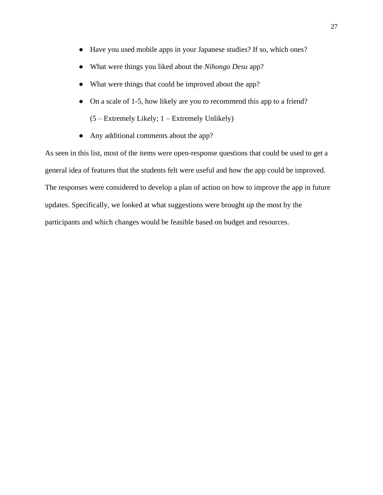- Have you used mobile apps in your Japanese studies? If so, which ones?
- What were things you liked about the *Nihongo Desu* app?
- What were things that could be improved about the app?
- On a scale of 1-5, how likely are you to recommend this app to a friend? (5 – Extremely Likely; 1 – Extremely Unlikely)
- Any additional comments about the app?

As seen in this list, most of the items were open-response questions that could be used to get a general idea of features that the students felt were useful and how the app could be improved. The responses were considered to develop a plan of action on how to improve the app in future updates. Specifically, we looked at what suggestions were brought up the most by the participants and which changes would be feasible based on budget and resources.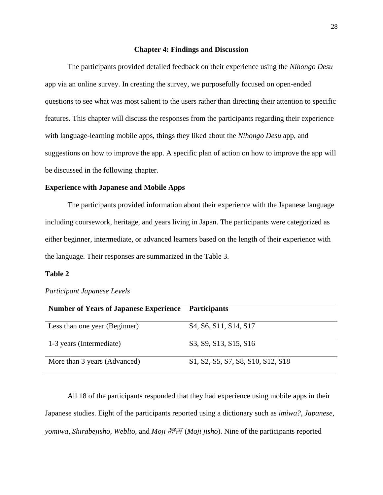### **Chapter 4: Findings and Discussion**

<span id="page-34-0"></span>The participants provided detailed feedback on their experience using the *Nihongo Desu* app via an online survey. In creating the survey, we purposefully focused on open-ended questions to see what was most salient to the users rather than directing their attention to specific features. This chapter will discuss the responses from the participants regarding their experience with language-learning mobile apps, things they liked about the *Nihongo Desu* app, and suggestions on how to improve the app. A specific plan of action on how to improve the app will be discussed in the following chapter.

## <span id="page-34-1"></span>**Experience with Japanese and Mobile Apps**

The participants provided information about their experience with the Japanese language including coursework, heritage, and years living in Japan. The participants were categorized as either beginner, intermediate, or advanced learners based on the length of their experience with the language. Their responses are summarized in the Table 3.

### **Table 2**

<span id="page-34-2"></span>

| Participant Japanese Levels |  |  |
|-----------------------------|--|--|
|-----------------------------|--|--|

| <b>Number of Years of Japanese Experience</b> | <b>Participants</b>                                                                   |
|-----------------------------------------------|---------------------------------------------------------------------------------------|
| Less than one year (Beginner)                 | S <sub>4</sub> , S <sub>6</sub> , S <sub>11</sub> , S <sub>14</sub> , S <sub>17</sub> |
| 1-3 years (Intermediate)                      | S3, S9, S13, S15, S16                                                                 |
| More than 3 years (Advanced)                  | S1, S2, S5, S7, S8, S10, S12, S18                                                     |

All 18 of the participants responded that they had experience using mobile apps in their Japanese studies. Eight of the participants reported using a dictionary such as *imiwa?*, *Japanese*, *yomiwa*, *Shirabejisho*, *Weblio*, and *Moji* 辞書 (*Moji jisho*). Nine of the participants reported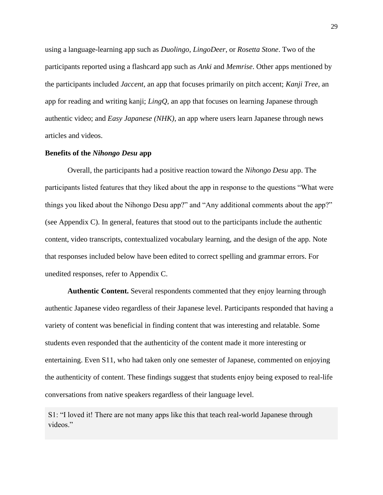using a language-learning app such as *Duolingo*, *LingoDeer*, or *Rosetta Stone*. Two of the participants reported using a flashcard app such as *Anki* and *Memrise*. Other apps mentioned by the participants included *Jaccent*, an app that focuses primarily on pitch accent; *Kanji Tree*, an app for reading and writing kanji; *LingQ*, an app that focuses on learning Japanese through authentic video; and *Easy Japanese (NHK)*, an app where users learn Japanese through news articles and videos.

### <span id="page-35-0"></span>**Benefits of the** *Nihongo Desu* **app**

Overall, the participants had a positive reaction toward the *Nihongo Desu* app. The participants listed features that they liked about the app in response to the questions "What were things you liked about the Nihongo Desu app?" and "Any additional comments about the app?" (see Appendix C). In general, features that stood out to the participants include the authentic content, video transcripts, contextualized vocabulary learning, and the design of the app. Note that responses included below have been edited to correct spelling and grammar errors. For unedited responses, refer to Appendix C.

<span id="page-35-1"></span>**Authentic Content.** Several respondents commented that they enjoy learning through authentic Japanese video regardless of their Japanese level. Participants responded that having a variety of content was beneficial in finding content that was interesting and relatable. Some students even responded that the authenticity of the content made it more interesting or entertaining. Even S11, who had taken only one semester of Japanese, commented on enjoying the authenticity of content. These findings suggest that students enjoy being exposed to real-life conversations from native speakers regardless of their language level.

S1: "I loved it! There are not many apps like this that teach real-world Japanese through videos."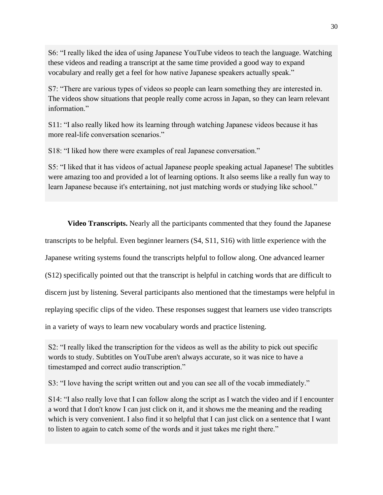S6: "I really liked the idea of using Japanese YouTube videos to teach the language. Watching these videos and reading a transcript at the same time provided a good way to expand vocabulary and really get a feel for how native Japanese speakers actually speak."

S7: "There are various types of videos so people can learn something they are interested in. The videos show situations that people really come across in Japan, so they can learn relevant information."

S11: "I also really liked how its learning through watching Japanese videos because it has more real-life conversation scenarios."

S18: "I liked how there were examples of real Japanese conversation."

S5: "I liked that it has videos of actual Japanese people speaking actual Japanese! The subtitles were amazing too and provided a lot of learning options. It also seems like a really fun way to learn Japanese because it's entertaining, not just matching words or studying like school."

<span id="page-36-0"></span>**Video Transcripts.** Nearly all the participants commented that they found the Japanese transcripts to be helpful. Even beginner learners (S4, S11, S16) with little experience with the Japanese writing systems found the transcripts helpful to follow along. One advanced learner (S12) specifically pointed out that the transcript is helpful in catching words that are difficult to discern just by listening. Several participants also mentioned that the timestamps were helpful in replaying specific clips of the video. These responses suggest that learners use video transcripts in a variety of ways to learn new vocabulary words and practice listening.

S2: "I really liked the transcription for the videos as well as the ability to pick out specific words to study. Subtitles on YouTube aren't always accurate, so it was nice to have a timestamped and correct audio transcription."

S3: "I love having the script written out and you can see all of the vocab immediately."

S14: "I also really love that I can follow along the script as I watch the video and if I encounter a word that I don't know I can just click on it, and it shows me the meaning and the reading which is very convenient. I also find it so helpful that I can just click on a sentence that I want to listen to again to catch some of the words and it just takes me right there."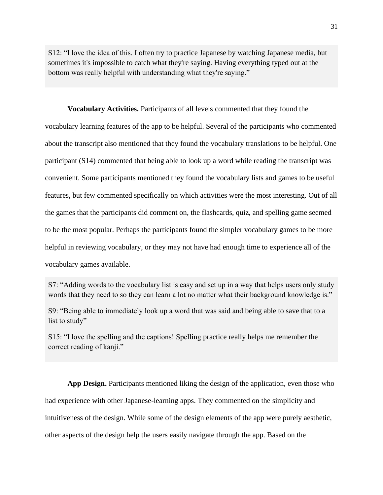S12: "I love the idea of this. I often try to practice Japanese by watching Japanese media, but sometimes it's impossible to catch what they're saying. Having everything typed out at the bottom was really helpful with understanding what they're saying."

<span id="page-37-0"></span>**Vocabulary Activities.** Participants of all levels commented that they found the vocabulary learning features of the app to be helpful. Several of the participants who commented about the transcript also mentioned that they found the vocabulary translations to be helpful. One participant (S14) commented that being able to look up a word while reading the transcript was convenient. Some participants mentioned they found the vocabulary lists and games to be useful features, but few commented specifically on which activities were the most interesting. Out of all the games that the participants did comment on, the flashcards, quiz, and spelling game seemed to be the most popular. Perhaps the participants found the simpler vocabulary games to be more helpful in reviewing vocabulary, or they may not have had enough time to experience all of the vocabulary games available.

S7: "Adding words to the vocabulary list is easy and set up in a way that helps users only study words that they need to so they can learn a lot no matter what their background knowledge is."

S9: "Being able to immediately look up a word that was said and being able to save that to a list to study"

S15: "I love the spelling and the captions! Spelling practice really helps me remember the correct reading of kanji."

<span id="page-37-1"></span>**App Design.** Participants mentioned liking the design of the application, even those who had experience with other Japanese-learning apps. They commented on the simplicity and intuitiveness of the design. While some of the design elements of the app were purely aesthetic, other aspects of the design help the users easily navigate through the app. Based on the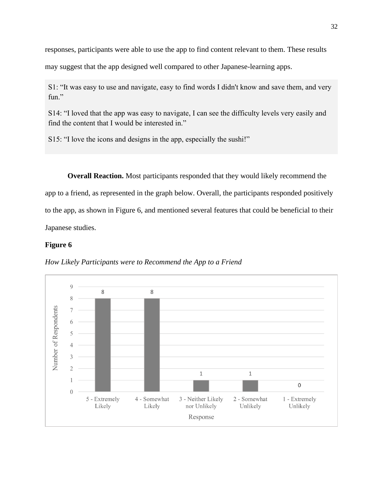responses, participants were able to use the app to find content relevant to them. These results

may suggest that the app designed well compared to other Japanese-learning apps.

S1: "It was easy to use and navigate, easy to find words I didn't know and save them, and very fun."

S14: "I loved that the app was easy to navigate, I can see the difficulty levels very easily and find the content that I would be interested in."

S15: "I love the icons and designs in the app, especially the sushi!"

<span id="page-38-0"></span>**Overall Reaction.** Most participants responded that they would likely recommend the app to a friend, as represented in the graph below. Overall, the participants responded positively to the app, as shown in Figure 6, and mentioned several features that could be beneficial to their Japanese studies.

## **Figure 6**



<span id="page-38-1"></span>*How Likely Participants were to Recommend the App to a Friend*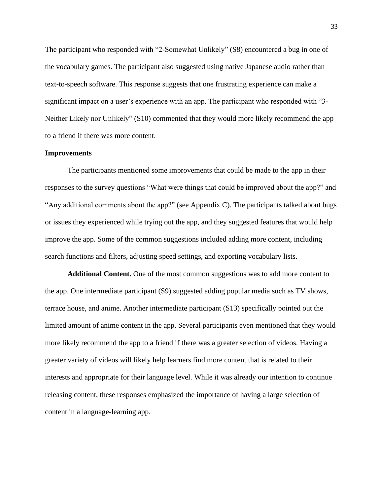The participant who responded with "2-Somewhat Unlikely" (S8) encountered a bug in one of the vocabulary games. The participant also suggested using native Japanese audio rather than text-to-speech software. This response suggests that one frustrating experience can make a significant impact on a user's experience with an app. The participant who responded with "3- Neither Likely nor Unlikely" (S10) commented that they would more likely recommend the app to a friend if there was more content.

#### <span id="page-39-0"></span>**Improvements**

The participants mentioned some improvements that could be made to the app in their responses to the survey questions "What were things that could be improved about the app?" and "Any additional comments about the app?" (see Appendix C). The participants talked about bugs or issues they experienced while trying out the app, and they suggested features that would help improve the app. Some of the common suggestions included adding more content, including search functions and filters, adjusting speed settings, and exporting vocabulary lists.

<span id="page-39-1"></span>**Additional Content.** One of the most common suggestions was to add more content to the app. One intermediate participant (S9) suggested adding popular media such as TV shows, terrace house, and anime. Another intermediate participant (S13) specifically pointed out the limited amount of anime content in the app. Several participants even mentioned that they would more likely recommend the app to a friend if there was a greater selection of videos. Having a greater variety of videos will likely help learners find more content that is related to their interests and appropriate for their language level. While it was already our intention to continue releasing content, these responses emphasized the importance of having a large selection of content in a language-learning app.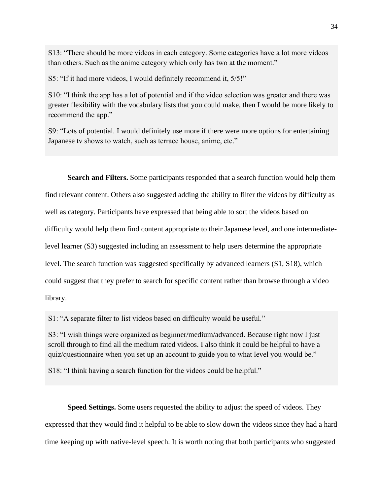S13: "There should be more videos in each category. Some categories have a lot more videos than others. Such as the anime category which only has two at the moment."

S5: "If it had more videos, I would definitely recommend it, 5/5!"

S10: "I think the app has a lot of potential and if the video selection was greater and there was greater flexibility with the vocabulary lists that you could make, then I would be more likely to recommend the app."

S9: "Lots of potential. I would definitely use more if there were more options for entertaining Japanese tv shows to watch, such as terrace house, anime, etc."

<span id="page-40-0"></span>**Search and Filters.** Some participants responded that a search function would help them find relevant content. Others also suggested adding the ability to filter the videos by difficulty as well as category. Participants have expressed that being able to sort the videos based on difficulty would help them find content appropriate to their Japanese level, and one intermediatelevel learner (S3) suggested including an assessment to help users determine the appropriate level. The search function was suggested specifically by advanced learners (S1, S18), which could suggest that they prefer to search for specific content rather than browse through a video library.

S1: "A separate filter to list videos based on difficulty would be useful."

S3: "I wish things were organized as beginner/medium/advanced. Because right now I just scroll through to find all the medium rated videos. I also think it could be helpful to have a quiz/questionnaire when you set up an account to guide you to what level you would be."

S18: "I think having a search function for the videos could be helpful."

<span id="page-40-1"></span>**Speed Settings.** Some users requested the ability to adjust the speed of videos. They expressed that they would find it helpful to be able to slow down the videos since they had a hard time keeping up with native-level speech. It is worth noting that both participants who suggested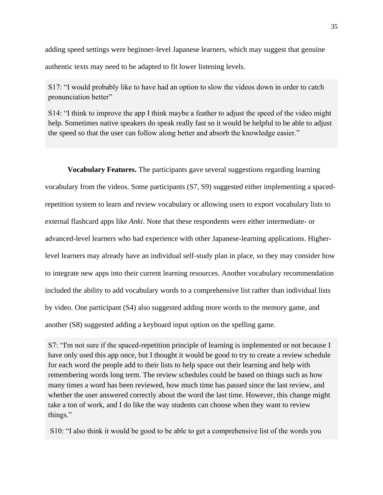adding speed settings were beginner-level Japanese learners, which may suggest that genuine authentic texts may need to be adapted to fit lower listening levels.

S17: "I would probably like to have had an option to slow the videos down in order to catch pronunciation better"

S14: "I think to improve the app I think maybe a feather to adjust the speed of the video might help. Sometimes native speakers do speak really fast so it would be helpful to be able to adjust the speed so that the user can follow along better and absorb the knowledge easier."

<span id="page-41-0"></span>**Vocabulary Features.** The participants gave several suggestions regarding learning vocabulary from the videos. Some participants (S7, S9) suggested either implementing a spacedrepetition system to learn and review vocabulary or allowing users to export vocabulary lists to external flashcard apps like *Anki*. Note that these respondents were either intermediate- or advanced-level learners who had experience with other Japanese-learning applications. Higherlevel learners may already have an individual self-study plan in place, so they may consider how to integrate new apps into their current learning resources. Another vocabulary recommendation included the ability to add vocabulary words to a comprehensive list rather than individual lists by video. One participant (S4) also suggested adding more words to the memory game, and another (S8) suggested adding a keyboard input option on the spelling game.

S7: "I'm not sure if the spaced-repetition principle of learning is implemented or not because I have only used this app once, but I thought it would be good to try to create a review schedule for each word the people add to their lists to help space out their learning and help with remembering words long term. The review schedules could be based on things such as how many times a word has been reviewed, how much time has passed since the last review, and whether the user answered correctly about the word the last time. However, this change might take a ton of work, and I do like the way students can choose when they want to review things."

S10: "I also think it would be good to be able to get a comprehensive list of the words you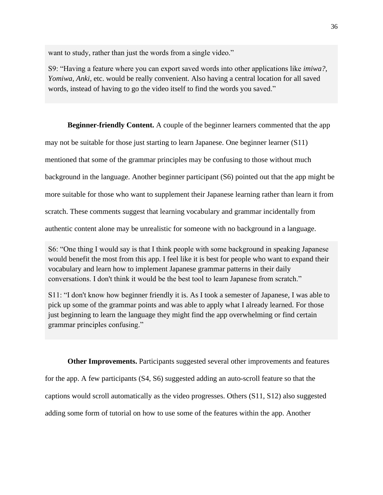want to study, rather than just the words from a single video."

S9: "Having a feature where you can export saved words into other applications like *imiwa?*, *Yomiwa*, *Anki*, etc. would be really convenient. Also having a central location for all saved words, instead of having to go the video itself to find the words you saved."

**Beginner-friendly Content.** A couple of the beginner learners commented that the app

<span id="page-42-0"></span>may not be suitable for those just starting to learn Japanese. One beginner learner (S11)

mentioned that some of the grammar principles may be confusing to those without much

background in the language. Another beginner participant (S6) pointed out that the app might be

more suitable for those who want to supplement their Japanese learning rather than learn it from

scratch. These comments suggest that learning vocabulary and grammar incidentally from

authentic content alone may be unrealistic for someone with no background in a language.

S6: "One thing I would say is that I think people with some background in speaking Japanese would benefit the most from this app. I feel like it is best for people who want to expand their vocabulary and learn how to implement Japanese grammar patterns in their daily conversations. I don't think it would be the best tool to learn Japanese from scratch."

S11: "I don't know how beginner friendly it is. As I took a semester of Japanese, I was able to pick up some of the grammar points and was able to apply what I already learned. For those just beginning to learn the language they might find the app overwhelming or find certain grammar principles confusing."

<span id="page-42-1"></span>**Other Improvements.** Participants suggested several other improvements and features for the app. A few participants (S4, S6) suggested adding an auto-scroll feature so that the captions would scroll automatically as the video progresses. Others (S11, S12) also suggested adding some form of tutorial on how to use some of the features within the app. Another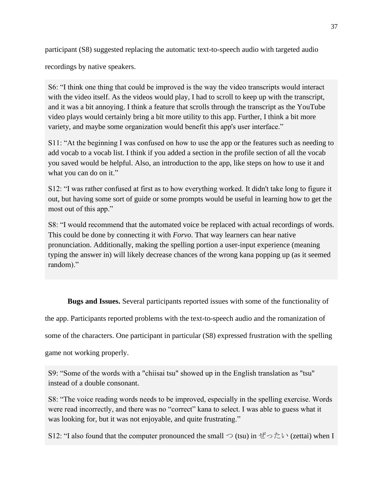participant (S8) suggested replacing the automatic text-to-speech audio with targeted audio

recordings by native speakers.

S6: "I think one thing that could be improved is the way the video transcripts would interact with the video itself. As the videos would play, I had to scroll to keep up with the transcript, and it was a bit annoying. I think a feature that scrolls through the transcript as the YouTube video plays would certainly bring a bit more utility to this app. Further, I think a bit more variety, and maybe some organization would benefit this app's user interface."

S11: "At the beginning I was confused on how to use the app or the features such as needing to add vocab to a vocab list. I think if you added a section in the profile section of all the vocab you saved would be helpful. Also, an introduction to the app, like steps on how to use it and what you can do on it."

S12: "I was rather confused at first as to how everything worked. It didn't take long to figure it out, but having some sort of guide or some prompts would be useful in learning how to get the most out of this app."

S8: "I would recommend that the automated voice be replaced with actual recordings of words. This could be done by connecting it with *Forvo*. That way learners can hear native pronunciation. Additionally, making the spelling portion a user-input experience (meaning typing the answer in) will likely decrease chances of the wrong kana popping up (as it seemed random)."

**Bugs and Issues.** Several participants reported issues with some of the functionality of

<span id="page-43-0"></span>the app. Participants reported problems with the text-to-speech audio and the romanization of

some of the characters. One participant in particular (S8) expressed frustration with the spelling

game not working properly.

S9: "Some of the words with a "chiisai tsu" showed up in the English translation as "tsu" instead of a double consonant.

S8: "The voice reading words needs to be improved, especially in the spelling exercise. Words were read incorrectly, and there was no "correct" kana to select. I was able to guess what it was looking for, but it was not enjoyable, and quite frustrating."

S12: "I also found that the computer pronounced the small  $\supset$  (tsu) in ぜったい (zettai) when I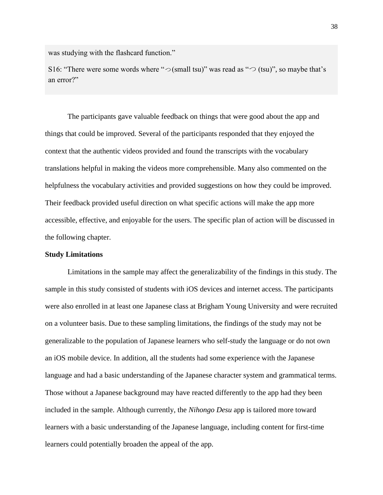was studying with the flashcard function."

S16: "There were some words where " $\bigcirc$  (small tsu)" was read as " $\bigcirc$  (tsu)", so maybe that's an error?"

The participants gave valuable feedback on things that were good about the app and things that could be improved. Several of the participants responded that they enjoyed the context that the authentic videos provided and found the transcripts with the vocabulary translations helpful in making the videos more comprehensible. Many also commented on the helpfulness the vocabulary activities and provided suggestions on how they could be improved. Their feedback provided useful direction on what specific actions will make the app more accessible, effective, and enjoyable for the users. The specific plan of action will be discussed in the following chapter.

## <span id="page-44-0"></span>**Study Limitations**

Limitations in the sample may affect the generalizability of the findings in this study. The sample in this study consisted of students with iOS devices and internet access. The participants were also enrolled in at least one Japanese class at Brigham Young University and were recruited on a volunteer basis. Due to these sampling limitations, the findings of the study may not be generalizable to the population of Japanese learners who self-study the language or do not own an iOS mobile device. In addition, all the students had some experience with the Japanese language and had a basic understanding of the Japanese character system and grammatical terms. Those without a Japanese background may have reacted differently to the app had they been included in the sample. Although currently, the *Nihongo Desu* app is tailored more toward learners with a basic understanding of the Japanese language, including content for first-time learners could potentially broaden the appeal of the app.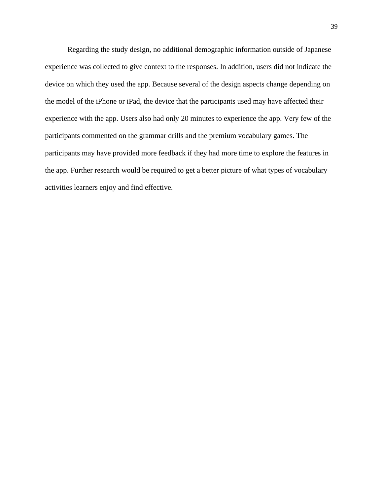Regarding the study design, no additional demographic information outside of Japanese experience was collected to give context to the responses. In addition, users did not indicate the device on which they used the app. Because several of the design aspects change depending on the model of the iPhone or iPad, the device that the participants used may have affected their experience with the app. Users also had only 20 minutes to experience the app. Very few of the participants commented on the grammar drills and the premium vocabulary games. The participants may have provided more feedback if they had more time to explore the features in the app. Further research would be required to get a better picture of what types of vocabulary activities learners enjoy and find effective.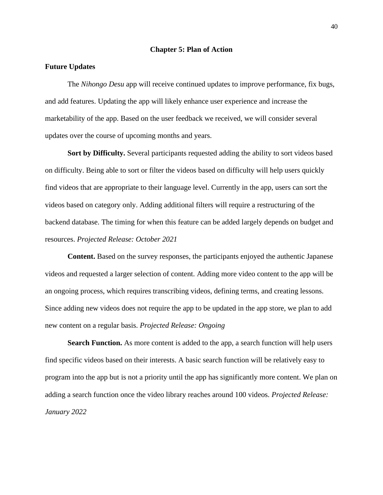#### **Chapter 5: Plan of Action**

### <span id="page-46-1"></span><span id="page-46-0"></span>**Future Updates**

The *Nihongo Desu* app will receive continued updates to improve performance, fix bugs, and add features. Updating the app will likely enhance user experience and increase the marketability of the app. Based on the user feedback we received, we will consider several updates over the course of upcoming months and years.

<span id="page-46-2"></span>**Sort by Difficulty.** Several participants requested adding the ability to sort videos based on difficulty. Being able to sort or filter the videos based on difficulty will help users quickly find videos that are appropriate to their language level. Currently in the app, users can sort the videos based on category only. Adding additional filters will require a restructuring of the backend database. The timing for when this feature can be added largely depends on budget and resources. *Projected Release: October 2021*

<span id="page-46-3"></span>**Content.** Based on the survey responses, the participants enjoyed the authentic Japanese videos and requested a larger selection of content. Adding more video content to the app will be an ongoing process, which requires transcribing videos, defining terms, and creating lessons. Since adding new videos does not require the app to be updated in the app store, we plan to add new content on a regular basis. *Projected Release: Ongoing*

<span id="page-46-4"></span>**Search Function.** As more content is added to the app, a search function will help users find specific videos based on their interests. A basic search function will be relatively easy to program into the app but is not a priority until the app has significantly more content. We plan on adding a search function once the video library reaches around 100 videos. *Projected Release: January 2022*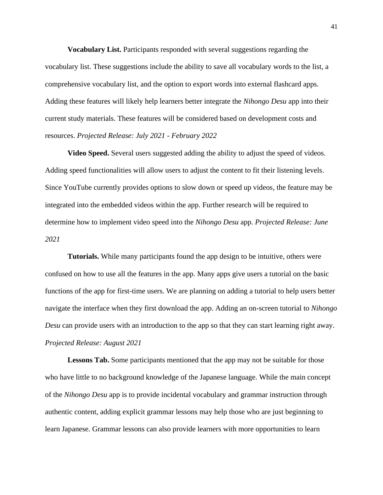<span id="page-47-0"></span>**Vocabulary List.** Participants responded with several suggestions regarding the vocabulary list. These suggestions include the ability to save all vocabulary words to the list, a comprehensive vocabulary list, and the option to export words into external flashcard apps. Adding these features will likely help learners better integrate the *Nihongo Desu* app into their current study materials. These features will be considered based on development costs and resources. *Projected Release: July 2021 - February 2022*

<span id="page-47-1"></span>**Video Speed.** Several users suggested adding the ability to adjust the speed of videos. Adding speed functionalities will allow users to adjust the content to fit their listening levels. Since YouTube currently provides options to slow down or speed up videos, the feature may be integrated into the embedded videos within the app. Further research will be required to determine how to implement video speed into the *Nihongo Desu* app. *Projected Release: June 2021*

<span id="page-47-2"></span>**Tutorials.** While many participants found the app design to be intuitive, others were confused on how to use all the features in the app. Many apps give users a tutorial on the basic functions of the app for first-time users. We are planning on adding a tutorial to help users better navigate the interface when they first download the app. Adding an on-screen tutorial to *Nihongo Desu* can provide users with an introduction to the app so that they can start learning right away. *Projected Release: August 2021*

<span id="page-47-3"></span>**Lessons Tab.** Some participants mentioned that the app may not be suitable for those who have little to no background knowledge of the Japanese language. While the main concept of the *Nihongo Desu* app is to provide incidental vocabulary and grammar instruction through authentic content, adding explicit grammar lessons may help those who are just beginning to learn Japanese. Grammar lessons can also provide learners with more opportunities to learn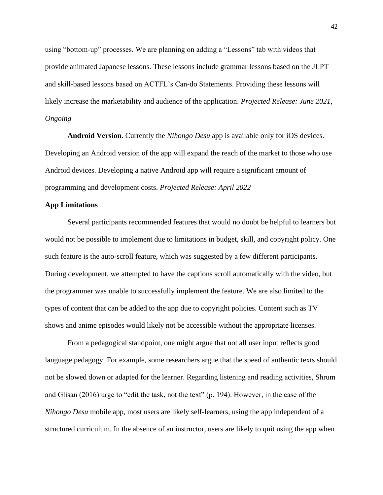using "bottom-up" processes. We are planning on adding a "Lessons" tab with videos that provide animated Japanese lessons. These lessons include grammar lessons based on the JLPT and skill-based lessons based on ACTFL's Can-do Statements. Providing these lessons will likely increase the marketability and audience of the application. *Projected Release: June 2021, Ongoing*

<span id="page-48-0"></span>**Android Version.** Currently the *Nihongo Desu* app is available only for iOS devices. Developing an Android version of the app will expand the reach of the market to those who use Android devices. Developing a native Android app will require a significant amount of programming and development costs. *Projected Release: April 2022*

## <span id="page-48-1"></span>**App Limitations**

Several participants recommended features that would no doubt be helpful to learners but would not be possible to implement due to limitations in budget, skill, and copyright policy. One such feature is the auto-scroll feature, which was suggested by a few different participants. During development, we attempted to have the captions scroll automatically with the video, but the programmer was unable to successfully implement the feature. We are also limited to the types of content that can be added to the app due to copyright policies. Content such as TV shows and anime episodes would likely not be accessible without the appropriate licenses.

From a pedagogical standpoint, one might argue that not all user input reflects good language pedagogy. For example, some researchers argue that the speed of authentic texts should not be slowed down or adapted for the learner. Regarding listening and reading activities, Shrum and Glisan (2016) urge to "edit the task, not the text" (p. 194). However, in the case of the *Nihongo Desu* mobile app, most users are likely self-learners, using the app independent of a structured curriculum. In the absence of an instructor, users are likely to quit using the app when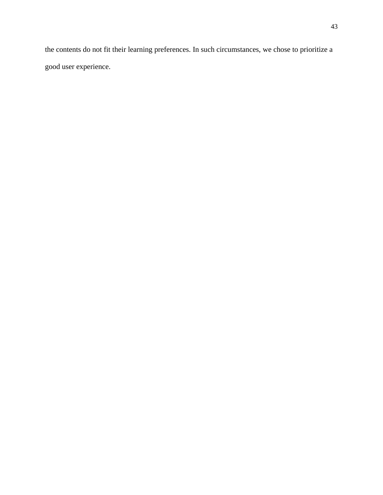the contents do not fit their learning preferences. In such circumstances, we chose to prioritize a good user experience.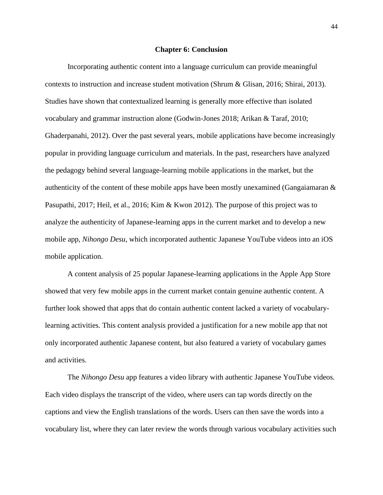#### **Chapter 6: Conclusion**

<span id="page-50-0"></span>Incorporating authentic content into a language curriculum can provide meaningful contexts to instruction and increase student motivation (Shrum & Glisan, 2016; Shirai, 2013). Studies have shown that contextualized learning is generally more effective than isolated vocabulary and grammar instruction alone (Godwin-Jones 2018; Arikan & Taraf, 2010; Ghaderpanahi, 2012). Over the past several years, mobile applications have become increasingly popular in providing language curriculum and materials. In the past, researchers have analyzed the pedagogy behind several language-learning mobile applications in the market, but the authenticity of the content of these mobile apps have been mostly unexamined (Gangaiamaran  $\&$ Pasupathi, 2017; Heil, et al., 2016; Kim & Kwon 2012). The purpose of this project was to analyze the authenticity of Japanese-learning apps in the current market and to develop a new mobile app, *Nihongo Desu*, which incorporated authentic Japanese YouTube videos into an iOS mobile application.

A content analysis of 25 popular Japanese-learning applications in the Apple App Store showed that very few mobile apps in the current market contain genuine authentic content. A further look showed that apps that do contain authentic content lacked a variety of vocabularylearning activities. This content analysis provided a justification for a new mobile app that not only incorporated authentic Japanese content, but also featured a variety of vocabulary games and activities.

The *Nihongo Desu* app features a video library with authentic Japanese YouTube videos. Each video displays the transcript of the video, where users can tap words directly on the captions and view the English translations of the words. Users can then save the words into a vocabulary list, where they can later review the words through various vocabulary activities such

44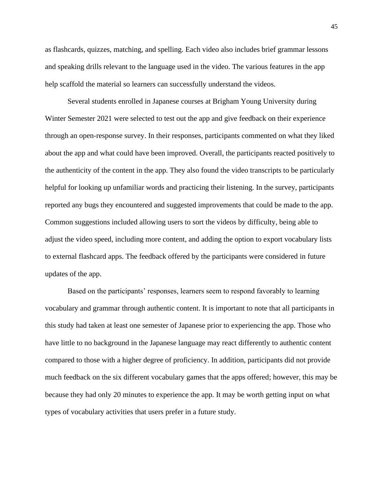as flashcards, quizzes, matching, and spelling. Each video also includes brief grammar lessons and speaking drills relevant to the language used in the video. The various features in the app help scaffold the material so learners can successfully understand the videos.

Several students enrolled in Japanese courses at Brigham Young University during Winter Semester 2021 were selected to test out the app and give feedback on their experience through an open-response survey. In their responses, participants commented on what they liked about the app and what could have been improved. Overall, the participants reacted positively to the authenticity of the content in the app. They also found the video transcripts to be particularly helpful for looking up unfamiliar words and practicing their listening. In the survey, participants reported any bugs they encountered and suggested improvements that could be made to the app. Common suggestions included allowing users to sort the videos by difficulty, being able to adjust the video speed, including more content, and adding the option to export vocabulary lists to external flashcard apps. The feedback offered by the participants were considered in future updates of the app.

<span id="page-51-0"></span>Based on the participants' responses, learners seem to respond favorably to learning vocabulary and grammar through authentic content. It is important to note that all participants in this study had taken at least one semester of Japanese prior to experiencing the app. Those who have little to no background in the Japanese language may react differently to authentic content compared to those with a higher degree of proficiency. In addition, participants did not provide much feedback on the six different vocabulary games that the apps offered; however, this may be because they had only 20 minutes to experience the app. It may be worth getting input on what types of vocabulary activities that users prefer in a future study.

45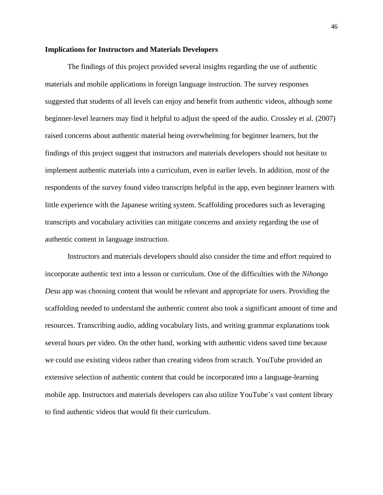#### **Implications for Instructors and Materials Developers**

The findings of this project provided several insights regarding the use of authentic materials and mobile applications in foreign language instruction. The survey responses suggested that students of all levels can enjoy and benefit from authentic videos, although some beginner-level learners may find it helpful to adjust the speed of the audio. Crossley et al. (2007) raised concerns about authentic material being overwhelming for beginner learners, but the findings of this project suggest that instructors and materials developers should not hesitate to implement authentic materials into a curriculum, even in earlier levels. In addition, most of the respondents of the survey found video transcripts helpful in the app, even beginner learners with little experience with the Japanese writing system. Scaffolding procedures such as leveraging transcripts and vocabulary activities can mitigate concerns and anxiety regarding the use of authentic content in language instruction.

Instructors and materials developers should also consider the time and effort required to incorporate authentic text into a lesson or curriculum. One of the difficulties with the *Nihongo Desu* app was choosing content that would be relevant and appropriate for users. Providing the scaffolding needed to understand the authentic content also took a significant amount of time and resources. Transcribing audio, adding vocabulary lists, and writing grammar explanations took several hours per video. On the other hand, working with authentic videos saved time because we could use existing videos rather than creating videos from scratch. YouTube provided an extensive selection of authentic content that could be incorporated into a language-learning mobile app. Instructors and materials developers can also utilize YouTube's vast content library to find authentic videos that would fit their curriculum.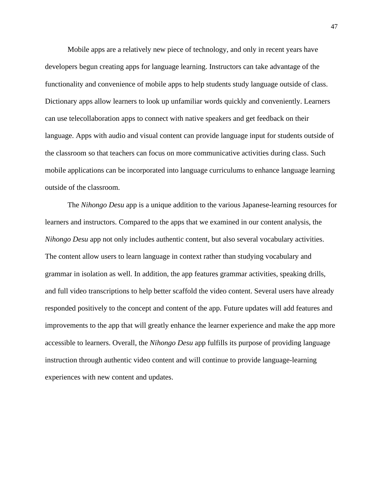Mobile apps are a relatively new piece of technology, and only in recent years have developers begun creating apps for language learning. Instructors can take advantage of the functionality and convenience of mobile apps to help students study language outside of class. Dictionary apps allow learners to look up unfamiliar words quickly and conveniently. Learners can use telecollaboration apps to connect with native speakers and get feedback on their language. Apps with audio and visual content can provide language input for students outside of the classroom so that teachers can focus on more communicative activities during class. Such mobile applications can be incorporated into language curriculums to enhance language learning outside of the classroom.

The *Nihongo Desu* app is a unique addition to the various Japanese-learning resources for learners and instructors. Compared to the apps that we examined in our content analysis, the *Nihongo Desu* app not only includes authentic content, but also several vocabulary activities. The content allow users to learn language in context rather than studying vocabulary and grammar in isolation as well. In addition, the app features grammar activities, speaking drills, and full video transcriptions to help better scaffold the video content. Several users have already responded positively to the concept and content of the app. Future updates will add features and improvements to the app that will greatly enhance the learner experience and make the app more accessible to learners. Overall, the *Nihongo Desu* app fulfills its purpose of providing language instruction through authentic video content and will continue to provide language-learning experiences with new content and updates.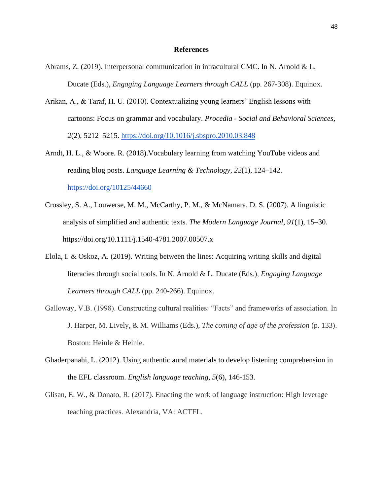### **References**

- <span id="page-54-0"></span>Abrams, Z. (2019). Interpersonal communication in intracultural CMC. In N. Arnold & L. Ducate (Eds.), *Engaging Language Learners through CALL* (pp. 267-308). Equinox.
- Arikan, A., & Taraf, H. U. (2010). Contextualizing young learners' English lessons with cartoons: Focus on grammar and vocabulary. *Procedia - Social and Behavioral Sciences, 2*(2), 5212–5215.<https://doi.org/10.1016/j.sbspro.2010.03.848>
- Arndt, H. L., & Woore. R. (2018).Vocabulary learning from watching YouTube videos and reading blog posts. *Language Learning & Technology*, *22*(1), 124–142. <https://doi.org/10125/44660>
- Crossley, S. A., Louwerse, M. M., McCarthy, P. M., & McNamara, D. S. (2007). A linguistic analysis of simplified and authentic texts. *The Modern Language Journal*, *91*(1), 15–30. https://doi.org/10.1111/j.1540-4781.2007.00507.x
- Elola, I. & Oskoz, A. (2019). Writing between the lines: Acquiring writing skills and digital literacies through social tools. In N. Arnold & L. Ducate (Eds.), *Engaging Language Learners through CALL* (pp. 240-266). Equinox.
- Galloway, V.B. (1998). Constructing cultural realities: "Facts" and frameworks of association. In J. Harper, M. Lively, & M. Williams (Eds.), *The coming of age of the profession* (p. 133). Boston: Heinle & Heinle.
- Ghaderpanahi, L. (2012). Using authentic aural materials to develop listening comprehension in the EFL classroom. *English language teaching, 5*(6), 146-153.
- Glisan, E. W., & Donato, R. (2017). Enacting the work of language instruction: High leverage teaching practices. Alexandria, VA: ACTFL.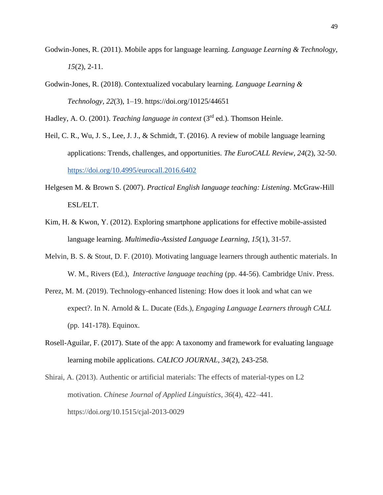- Godwin-Jones, R. (2011). Mobile apps for language learning. *Language Learning & Technology, 15*(2), 2-11.
- Godwin-Jones, R. (2018). Contextualized vocabulary learning. *Language Learning & Technology, 22*(3), 1–19. https://doi.org/10125/44651

Hadley, A. O. (2001). *Teaching language in context* (3rd ed.)*.* Thomson Heinle.

- Heil, C. R., Wu, J. S., Lee, J. J., & Schmidt, T. (2016). A review of mobile language learning applications: Trends, challenges, and opportunities. *The EuroCALL Review, 24*(2), 32-50. <https://doi.org/10.4995/eurocall.2016.6402>
- Helgesen M. & Brown S. (2007). *Practical English language teaching: Listening*. McGraw-Hill ESL/ELT.
- Kim, H. & Kwon, Y. (2012). Exploring smartphone applications for effective mobile-assisted language learning. *Multimedia-Assisted Language Learning, 15*(1), 31-57.
- Melvin, B. S. & Stout, D. F. (2010). Motivating language learners through authentic materials. In W. M., Rivers (Ed.), *Interactive language teaching* (pp. 44-56). Cambridge Univ. Press.
- Perez, M. M. (2019). Technology-enhanced listening: How does it look and what can we expect?. In N. Arnold & L. Ducate (Eds.), *Engaging Language Learners through CALL* (pp. 141-178). Equinox.
- Rosell-Aguilar, F. (2017). State of the app: A taxonomy and framework for evaluating language learning mobile applications. *CALICO JOURNAL, 34*(2), 243-258.
- Shirai, A. (2013). Authentic or artificial materials: The effects of material-types on L2 motivation. *Chinese Journal of Applied Linguistics*, *36*(4), 422–441. https://doi.org/10.1515/cjal-2013-0029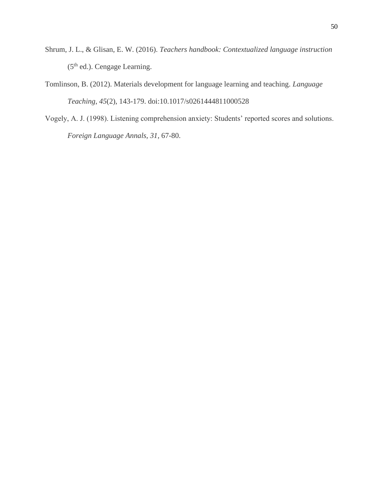- Shrum, J. L., & Glisan, E. W. (2016). *Teachers handbook: Contextualized language instruction*   $(5<sup>th</sup>$  ed.). Cengage Learning.
- Tomlinson, B. (2012). Materials development for language learning and teaching. *Language Teaching*, *45*(2), 143-179. doi:10.1017/s0261444811000528
- Vogely, A. J. (1998). Listening comprehension anxiety: Students' reported scores and solutions. *Foreign Language Annals, 31,* 67-80.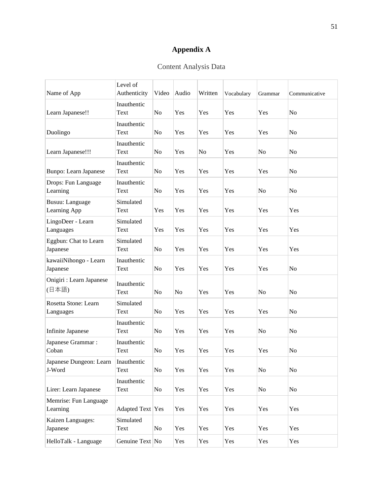# **Appendix A**

# Content Analysis Data

<span id="page-57-0"></span>

| Name of App                       | Level of<br>Authenticity | Video          | Audio | Written | Vocabulary | Grammar        | Communicative |
|-----------------------------------|--------------------------|----------------|-------|---------|------------|----------------|---------------|
| Learn Japanese!!                  | Inauthentic<br>Text      | N <sub>o</sub> | Yes   | Yes     | Yes        | Yes            | No            |
| Duolingo                          | Inauthentic<br>Text      | No             | Yes   | Yes     | Yes        | Yes            | No            |
| Learn Japanese!!!                 | Inauthentic<br>Text      | N <sub>o</sub> | Yes   | No      | Yes        | No             | No            |
| <b>Bunpo:</b> Learn Japanese      | Inauthentic<br>Text      | N <sub>0</sub> | Yes   | Yes     | Yes        | Yes            | No            |
| Drops: Fun Language<br>Learning   | Inauthentic<br>Text      | N <sub>0</sub> | Yes   | Yes     | Yes        | N <sub>0</sub> | No            |
| Busuu: Language<br>Learning App   | Simulated<br>Text        | Yes            | Yes   | Yes     | Yes        | Yes            | Yes           |
| LingoDeer - Learn<br>Languages    | Simulated<br>Text        | Yes            | Yes   | Yes     | Yes        | Yes            | Yes           |
| Eggbun: Chat to Learn<br>Japanese | Simulated<br>Text        | N <sub>o</sub> | Yes   | Yes     | Yes        | Yes            | Yes           |
| kawaiiNihongo - Learn<br>Japanese | Inauthentic<br>Text      | N <sub>0</sub> | Yes   | Yes     | Yes        | Yes            | No            |
| Onigiri : Learn Japanese<br>(日本語) | Inauthentic<br>Text      | N <sub>0</sub> | No    | Yes     | Yes        | No             | No            |
| Rosetta Stone: Learn<br>Languages | Simulated<br>Text        | No             | Yes   | Yes     | Yes        | Yes            | No            |
| <b>Infinite Japanese</b>          | Inauthentic<br>Text      | No             | Yes   | Yes     | Yes        | No             | No            |
| Japanese Grammar:<br>Coban        | Inauthentic<br>Text      | No             | Yes   | Yes     | Yes        | Yes            | No            |
| Japanese Dungeon: Learn<br>J-Word | Inauthentic<br>Text      | N <sub>o</sub> | Yes   | Yes     | Yes        | N <sub>o</sub> | No            |
| Lirer: Learn Japanese             | Inauthentic<br>Text      | No             | Yes   | Yes     | Yes        | No             | No            |
| Memrise: Fun Language<br>Learning | Adapted Text Yes         |                | Yes   | Yes     | Yes        | Yes            | Yes           |
| Kaizen Languages:<br>Japanese     | Simulated<br>Text        | No             | Yes   | Yes     | Yes        | Yes            | Yes           |
| HelloTalk - Language              | Genuine Text No          |                | Yes   | Yes     | Yes        | Yes            | Yes           |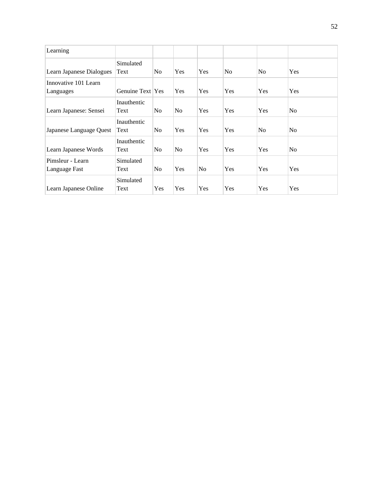| Learning                 |                   |                |                |                |                |                |                |
|--------------------------|-------------------|----------------|----------------|----------------|----------------|----------------|----------------|
| Learn Japanese Dialogues | Simulated<br>Text | N <sub>o</sub> | Yes            | Yes            | N <sub>o</sub> | No             | Yes            |
|                          |                   |                |                |                |                |                |                |
| Innovative 101 Learn     |                   |                |                |                |                |                |                |
| Languages                | Genuine Text Yes  |                | Yes            | Yes            | Yes            | Yes            | Yes            |
|                          | Inauthentic       |                |                |                |                |                |                |
| Learn Japanese: Sensei   | Text              | No             | N <sub>0</sub> | Yes            | Yes            | Yes            | N <sub>0</sub> |
|                          | Inauthentic       |                |                |                |                |                |                |
| Japanese Language Quest  | Text              | N <sub>o</sub> | Yes            | Yes            | Yes            | N <sub>o</sub> | N <sub>0</sub> |
|                          | Inauthentic       |                |                |                |                |                |                |
| Learn Japanese Words     | Text              | N <sub>0</sub> | N <sub>o</sub> | Yes            | Yes            | Yes            | N <sub>0</sub> |
| Pimsleur - Learn         | Simulated         |                |                |                |                |                |                |
| Language Fast            | Text              | No             | Yes            | N <sub>0</sub> | Yes            | Yes            | Yes            |
|                          | Simulated         |                |                |                |                |                |                |
| Learn Japanese Online    | Text              | Yes            | Yes            | Yes            | Yes            | Yes            | Yes            |
|                          |                   |                |                |                |                |                |                |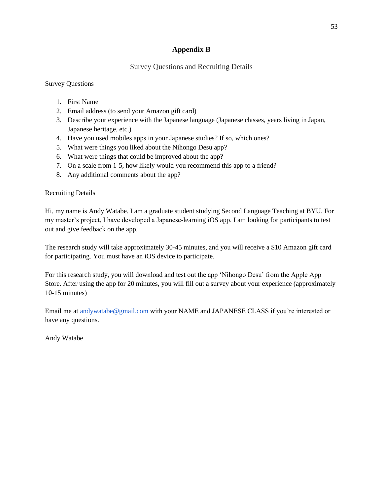# **Appendix B**

# Survey Questions and Recruiting Details

<span id="page-59-0"></span>Survey Questions

- 1. First Name
- 2. Email address (to send your Amazon gift card)
- 3. Describe your experience with the Japanese language (Japanese classes, years living in Japan, Japanese heritage, etc.)
- 4. Have you used mobiles apps in your Japanese studies? If so, which ones?
- 5. What were things you liked about the Nihongo Desu app?
- 6. What were things that could be improved about the app?
- 7. On a scale from 1-5, how likely would you recommend this app to a friend?
- 8. Any additional comments about the app?

# Recruiting Details

Hi, my name is Andy Watabe. I am a graduate student studying Second Language Teaching at BYU. For my master's project, I have developed a Japanese-learning iOS app. I am looking for participants to test out and give feedback on the app.

The research study will take approximately 30-45 minutes, and you will receive a \$10 Amazon gift card for participating. You must have an iOS device to participate.

For this research study, you will download and test out the app 'Nihongo Desu' from the Apple App Store. After using the app for 20 minutes, you will fill out a survey about your experience (approximately 10-15 minutes)

Email me at [andywatabe@gmail.com](mailto:andywatabe@gmail.com) with your NAME and JAPANESE CLASS if you're interested or have any questions.

Andy Watabe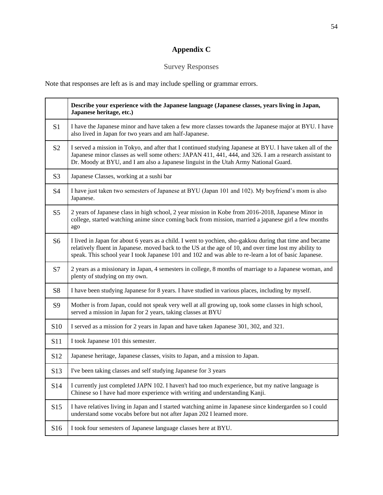# **Appendix C**

# Survey Responses

<span id="page-60-0"></span>Note that responses are left as is and may include spelling or grammar errors.

|                 | Describe your experience with the Japanese language (Japanese classes, years living in Japan,<br>Japanese heritage, etc.)                                                                                                                                                                                                   |
|-----------------|-----------------------------------------------------------------------------------------------------------------------------------------------------------------------------------------------------------------------------------------------------------------------------------------------------------------------------|
| S <sub>1</sub>  | I have the Japanese minor and have taken a few more classes towards the Japanese major at BYU. I have<br>also lived in Japan for two years and am half-Japanese.                                                                                                                                                            |
| S <sub>2</sub>  | I served a mission in Tokyo, and after that I continued studying Japanese at BYU. I have taken all of the<br>Japanese minor classes as well some others: JAPAN 411, 441, 444, and 326. I am a research assistant to<br>Dr. Moody at BYU, and I am also a Japanese linguist in the Utah Army National Guard.                 |
| S <sub>3</sub>  | Japanese Classes, working at a sushi bar                                                                                                                                                                                                                                                                                    |
| S <sub>4</sub>  | I have just taken two semesters of Japanese at BYU (Japan 101 and 102). My boyfriend's mom is also<br>Japanese.                                                                                                                                                                                                             |
| S <sub>5</sub>  | 2 years of Japanese class in high school, 2 year mission in Kobe from 2016-2018, Japanese Minor in<br>college, started watching anime since coming back from mission, married a japanese girl a few months<br>ago                                                                                                           |
| S <sub>6</sub>  | I lived in Japan for about 6 years as a child. I went to yochien, sho-gakkou during that time and became<br>relatively fluent in Japanese. moved back to the US at the age of 10, and over time lost my ability to<br>speak. This school year I took Japanese 101 and 102 and was able to re-learn a lot of basic Japanese. |
| S7              | 2 years as a missionary in Japan, 4 semesters in college, 8 months of marriage to a Japanese woman, and<br>plenty of studying on my own.                                                                                                                                                                                    |
| S <sub>8</sub>  | I have been studying Japanese for 8 years. I have studied in various places, including by myself.                                                                                                                                                                                                                           |
| S <sub>9</sub>  | Mother is from Japan, could not speak very well at all growing up, took some classes in high school,<br>served a mission in Japan for 2 years, taking classes at BYU                                                                                                                                                        |
| S <sub>10</sub> | I served as a mission for 2 years in Japan and have taken Japanese 301, 302, and 321.                                                                                                                                                                                                                                       |
| S11             | I took Japanese 101 this semester.                                                                                                                                                                                                                                                                                          |
| S <sub>12</sub> | Japanese heritage, Japanese classes, visits to Japan, and a mission to Japan.                                                                                                                                                                                                                                               |
| S <sub>13</sub> | I've been taking classes and self studying Japanese for 3 years                                                                                                                                                                                                                                                             |
| S14             | I currently just completed JAPN 102. I haven't had too much experience, but my native language is<br>Chinese so I have had more experience with writing and understanding Kanji.                                                                                                                                            |
| S <sub>15</sub> | I have relatives living in Japan and I started watching anime in Japanese since kindergarden so I could<br>understand some vocabs before but not after Japan 202 I learned more.                                                                                                                                            |
| S16             | I took four semesters of Japanese language classes here at BYU.                                                                                                                                                                                                                                                             |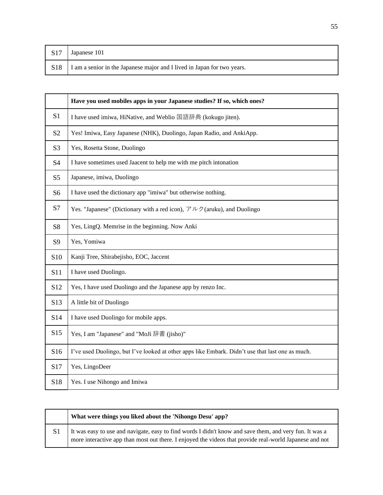| S17 Japanese 101                                                              |
|-------------------------------------------------------------------------------|
| S18   I am a senior in the Japanese major and I lived in Japan for two years. |

|                 | Have you used mobiles apps in your Japanese studies? If so, which ones?                          |
|-----------------|--------------------------------------------------------------------------------------------------|
| S <sub>1</sub>  | I have used imiwa, HiNative, and Weblio 国語辞典 (kokugo jiten).                                     |
| S <sub>2</sub>  | Yes! Imiwa, Easy Japanese (NHK), Duolingo, Japan Radio, and AnkiApp.                             |
| S <sub>3</sub>  | Yes, Rosetta Stone, Duolingo                                                                     |
| S4              | I have sometimes used Jaacent to help me with me pitch intonation                                |
| S <sub>5</sub>  | Japanese, imiwa, Duolingo                                                                        |
| S <sub>6</sub>  | I have used the dictionary app "imiwa" but otherwise nothing.                                    |
| S7              | Yes. "Japanese" (Dictionary with a red icon), $\nabla \nu / (\text{aruku})$ , and Duolingo       |
| S <sub>8</sub>  | Yes, LingQ. Memrise in the beginning. Now Anki                                                   |
| S <sub>9</sub>  | Yes, Yomiwa                                                                                      |
| S <sub>10</sub> | Kanji Tree, Shirabejisho, EOC, Jaccent                                                           |
| S11             | I have used Duolingo.                                                                            |
| S <sub>12</sub> | Yes, I have used Duolingo and the Japanese app by renzo Inc.                                     |
| S <sub>13</sub> | A little bit of Duolingo                                                                         |
| S14             | I have used Duolingo for mobile apps.                                                            |
| S15             | Yes, I am "Japanese" and "MoJi 辞書 (jisho)"                                                       |
| S16             | I've used Duolingo, but I've looked at other apps like Embark. Didn't use that last one as much. |
| S17             | Yes, LingoDeer                                                                                   |
| S18             | Yes. I use Nihongo and Imiwa                                                                     |

| What were things you liked about the 'Nihongo Desu' app?                                                                                                                                                           |
|--------------------------------------------------------------------------------------------------------------------------------------------------------------------------------------------------------------------|
| It was easy to use and navigate, easy to find words I didn't know and save them, and very fun. It was a<br>more interactive app than most out there. I enjoyed the videos that provide real-world Japanese and not |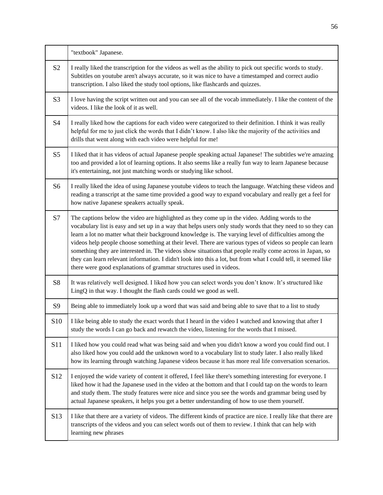|                 | "textbook" Japanese.                                                                                                                                                                                                                                                                                                                                                                                                                                                                                                                                                                                                                                                                                                                    |
|-----------------|-----------------------------------------------------------------------------------------------------------------------------------------------------------------------------------------------------------------------------------------------------------------------------------------------------------------------------------------------------------------------------------------------------------------------------------------------------------------------------------------------------------------------------------------------------------------------------------------------------------------------------------------------------------------------------------------------------------------------------------------|
| S <sub>2</sub>  | I really liked the transcription for the videos as well as the ability to pick out specific words to study.<br>Subtitles on youtube aren't always accurate, so it was nice to have a timestamped and correct audio<br>transcription. I also liked the study tool options, like flashcards and quizzes.                                                                                                                                                                                                                                                                                                                                                                                                                                  |
| S <sub>3</sub>  | I love having the script written out and you can see all of the vocab immediately. I like the content of the<br>videos. I like the look of it as well.                                                                                                                                                                                                                                                                                                                                                                                                                                                                                                                                                                                  |
| S4              | I really liked how the captions for each video were categorized to their definition. I think it was really<br>helpful for me to just click the words that I didn't know. I also like the majority of the activities and<br>drills that went along with each video were helpful for me!                                                                                                                                                                                                                                                                                                                                                                                                                                                  |
| S <sub>5</sub>  | I liked that it has videos of actual Japanese people speaking actual Japanese! The subtitles we're amazing<br>too and provided a lot of learning options. It also seems like a really fun way to learn Japanese because<br>it's entertaining, not just matching words or studying like school.                                                                                                                                                                                                                                                                                                                                                                                                                                          |
| S <sub>6</sub>  | I really liked the idea of using Japanese youtube videos to teach the language. Watching these videos and<br>reading a transcript at the same time provided a good way to expand vocabulary and really get a feel for<br>how native Japanese speakers actually speak.                                                                                                                                                                                                                                                                                                                                                                                                                                                                   |
| S7              | The captions below the video are highlighted as they come up in the video. Adding words to the<br>vocabulary list is easy and set up in a way that helps users only study words that they need to so they can<br>learn a lot no matter what their background knowledge is. The varying level of difficulties among the<br>videos help people choose something at their level. There are various types of videos so people can learn<br>something they are interested in. The videos show situations that people really come across in Japan, so<br>they can learn relevant information. I didn't look into this a lot, but from what I could tell, it seemed like<br>there were good explanations of grammar structures used in videos. |
| S <sub>8</sub>  | It was relatively well designed. I liked how you can select words you don't know. It's structured like<br>LingQ in that way. I thought the flash cards could we good as well.                                                                                                                                                                                                                                                                                                                                                                                                                                                                                                                                                           |
| S <sub>9</sub>  | Being able to immediately look up a word that was said and being able to save that to a list to study                                                                                                                                                                                                                                                                                                                                                                                                                                                                                                                                                                                                                                   |
| S <sub>10</sub> | I like being able to study the exact words that I heard in the video I watched and knowing that after I<br>study the words I can go back and rewatch the video, listening for the words that I missed.                                                                                                                                                                                                                                                                                                                                                                                                                                                                                                                                  |
| S <sub>11</sub> | I liked how you could read what was being said and when you didn't know a word you could find out. I<br>also liked how you could add the unknown word to a vocabulary list to study later. I also really liked<br>how its learning through watching Japanese videos because it has more real life conversation scenarios.                                                                                                                                                                                                                                                                                                                                                                                                               |
| S12             | I enjoyed the wide variety of content it offered, I feel like there's something interesting for everyone. I<br>liked how it had the Japanese used in the video at the bottom and that I could tap on the words to learn<br>and study them. The study features were nice and since you see the words and grammar being used by<br>actual Japanese speakers, it helps you get a better understanding of how to use them yourself.                                                                                                                                                                                                                                                                                                         |
| S13             | I like that there are a variety of videos. The different kinds of practice are nice. I really like that there are<br>transcripts of the videos and you can select words out of them to review. I think that can help with<br>learning new phrases                                                                                                                                                                                                                                                                                                                                                                                                                                                                                       |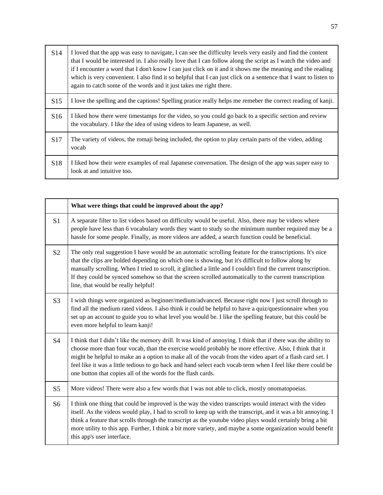| S <sub>14</sub> | I loved that the app was easy to navigate, I can see the difficulty levels very easily and find the content<br>that I would be interested in. I also really love that I can follow along the script as I watch the video and<br>if I encounter a word that I don't know I can just click on it and it shows me the meaning and the reading<br>which is very convenient. I also find it so helpful that I can just click on a sentence that I want to listen to<br>again to catch some of the words and it just takes me right there. |
|-----------------|--------------------------------------------------------------------------------------------------------------------------------------------------------------------------------------------------------------------------------------------------------------------------------------------------------------------------------------------------------------------------------------------------------------------------------------------------------------------------------------------------------------------------------------|
| S15             | I love the spelling and the captions! Spelling pratice really helps me remeber the correct reading of kanji.                                                                                                                                                                                                                                                                                                                                                                                                                         |
| S16             | I liked how there were timestamps for the video, so you could go back to a specific section and review<br>the vocabulary. I like the idea of using videos to learn Japanese, as well.                                                                                                                                                                                                                                                                                                                                                |
| S <sub>17</sub> | The variety of videos, the romaji being included, the option to play certain parts of the video, adding<br>vocab                                                                                                                                                                                                                                                                                                                                                                                                                     |
| S <sub>18</sub> | I liked how their were examples of real Japanese conversation. The design of the app was super easy to<br>look at and intuitive too.                                                                                                                                                                                                                                                                                                                                                                                                 |

|                | What were things that could be improved about the app?                                                                                                                                                                                                                                                                                                                                                                                                                                                                |
|----------------|-----------------------------------------------------------------------------------------------------------------------------------------------------------------------------------------------------------------------------------------------------------------------------------------------------------------------------------------------------------------------------------------------------------------------------------------------------------------------------------------------------------------------|
| S <sub>1</sub> | A separate filter to list videos based on difficulty would be useful. Also, there may be videos where<br>people have less than 6 vocabulary words they want to study so the minimum number required may be a<br>hassle for some people. Finally, as more videos are added, a search function could be beneficial.                                                                                                                                                                                                     |
| S <sub>2</sub> | The only real suggestion I have would be an automatic scrolling feature for the transcriptions. It's nice<br>that the clips are bolded depending on which one is showing, but it's difficult to follow along by<br>manually scrolling. When I tried to scroll, it glitched a little and I couldn't find the current transcription.<br>If they could be synced somehow so that the screen scrolled automatically to the current transcription<br>line, that would be really helpful!                                   |
| S <sub>3</sub> | I wish things were organized as beginner/medium/advanced. Because right now I just scroll through to<br>find all the medium rated videos. I also think it could be helpful to have a quiz/questionnaire when you<br>set up an account to guide you to what level you would be. I like the spelling feature, but this could be<br>even more helpful to learn kanji!                                                                                                                                                    |
| S <sub>4</sub> | I think that I didn't like the memory drill. It was kind of annoying. I think that if there was the ability to<br>choose more than four vocab, than the exercise would probably be more effective. Also, I think that it<br>might be helpful to make an a option to make all of the vocab from the video apart of a flash card set. I<br>feel like it was a little tedious to go back and hand select each vocab term when I feel like there could be<br>one button that copies all of the words for the flash cards. |
| S <sub>5</sub> | More videos! There were also a few words that I was not able to click, mostly onomatopoeias.                                                                                                                                                                                                                                                                                                                                                                                                                          |
| S <sub>6</sub> | I think one thing that could be improved is the way the video transcripts would interact with the video<br>itself. As the videos would play, I had to scroll to keep up with the transcript, and it was a bit annoying. I<br>think a feature that scrolls through the transcript as the youtube video plays would certainly bring a bit<br>more utility to this app. Further, I think a bit more variety, and maybe a some organization would benefit<br>this app's user interface.                                   |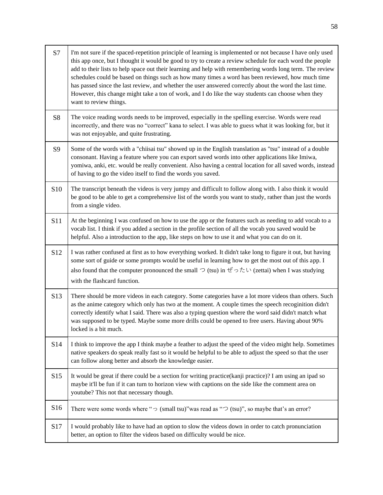| S7              | I'm not sure if the spaced-repetition principle of learning is implemented or not because I have only used<br>this app once, but I thought it would be good to try to create a review schedule for each word the people<br>add to their lists to help space out their learning and help with remembering words long term. The review<br>schedules could be based on things such as how many times a word has been reviewed, how much time<br>has passed since the last review, and whether the user answered correctly about the word the last time.<br>However, this change might take a ton of work, and I do like the way students can choose when they<br>want to review things. |
|-----------------|--------------------------------------------------------------------------------------------------------------------------------------------------------------------------------------------------------------------------------------------------------------------------------------------------------------------------------------------------------------------------------------------------------------------------------------------------------------------------------------------------------------------------------------------------------------------------------------------------------------------------------------------------------------------------------------|
| S <sub>8</sub>  | The voice reading words needs to be improved, especially in the spelling exercise. Words were read<br>incorrectly, and there was no "correct" kana to select. I was able to guess what it was looking for, but it<br>was not enjoyable, and quite frustrating.                                                                                                                                                                                                                                                                                                                                                                                                                       |
| S <sub>9</sub>  | Some of the words with a "chiisai tsu" showed up in the English translation as "tsu" instead of a double<br>consonant. Having a feature where you can export saved words into other applications like Imiwa,<br>yomiwa, anki, etc. would be really convenient. Also having a central location for all saved words, instead<br>of having to go the video itself to find the words you saved.                                                                                                                                                                                                                                                                                          |
| S <sub>10</sub> | The transcript beneath the videos is very jumpy and difficult to follow along with. I also think it would<br>be good to be able to get a comprehensive list of the words you want to study, rather than just the words<br>from a single video.                                                                                                                                                                                                                                                                                                                                                                                                                                       |
| S <sub>11</sub> | At the beginning I was confused on how to use the app or the features such as needing to add vocab to a<br>vocab list. I think if you added a section in the profile section of all the vocab you saved would be<br>helpful. Also a introduction to the app, like steps on how to use it and what you can do on it.                                                                                                                                                                                                                                                                                                                                                                  |
| S <sub>12</sub> | I was rather confused at first as to how everything worked. It didn't take long to figure it out, but having<br>some sort of guide or some prompts would be useful in learning how to get the most out of this app. I<br>also found that the computer pronounced the small $\supset$ (tsu) in $\forall \circ \uparrow \uparrow \cup$ (zettai) when I was studying<br>with the flashcard function.                                                                                                                                                                                                                                                                                    |
| S13             | There should be more videos in each category. Some categories have a lot more videos than others. Such<br>as the anime category which only has two at the moment. A couple times the speech recoginition didn't<br>correctly identify what I said. There was also a typing question where the word said didn't match what<br>was supposed to be typed. Maybe some more drills could be opened to free users. Having about 90%<br>locked is a bit much.                                                                                                                                                                                                                               |
| S <sub>14</sub> | I think to improve the app I think maybe a feather to adjust the speed of the video might help. Sometimes<br>native speakers do speak really fast so it would be helpful to be able to adjust the speed so that the user<br>can follow along better and absorb the knowledge easier.                                                                                                                                                                                                                                                                                                                                                                                                 |
| S15             | It would be great if there could be a section for writing practice(kanji practice)? I am using an ipad so<br>maybe it'll be fun if it can turn to horizon view with captions on the side like the comment area on<br>youtube? This not that necessary though.                                                                                                                                                                                                                                                                                                                                                                                                                        |
| S16             | There were some words where " $\supset$ (small tsu)" was read as " $\supset$ (tsu)", so maybe that's an error?                                                                                                                                                                                                                                                                                                                                                                                                                                                                                                                                                                       |
| S17             | I would probably like to have had an option to slow the videos down in order to catch pronunciation<br>better, an option to filter the videos based on difficulty would be nice.                                                                                                                                                                                                                                                                                                                                                                                                                                                                                                     |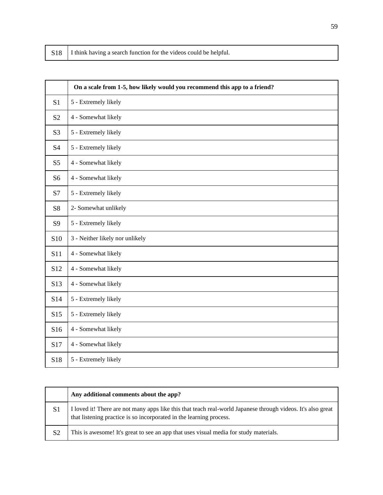|  | S18   I think having a search function for the videos could be helpful. |
|--|-------------------------------------------------------------------------|
|--|-------------------------------------------------------------------------|

|                 | On a scale from 1-5, how likely would you recommend this app to a friend? |
|-----------------|---------------------------------------------------------------------------|
| S <sub>1</sub>  | 5 - Extremely likely                                                      |
| S <sub>2</sub>  | 4 - Somewhat likely                                                       |
| S <sub>3</sub>  | 5 - Extremely likely                                                      |
| <b>S4</b>       | 5 - Extremely likely                                                      |
| S <sub>5</sub>  | 4 - Somewhat likely                                                       |
| S <sub>6</sub>  | 4 - Somewhat likely                                                       |
| S7              | 5 - Extremely likely                                                      |
| <b>S8</b>       | 2- Somewhat unlikely                                                      |
| S9              | 5 - Extremely likely                                                      |
| <b>S10</b>      | 3 - Neither likely nor unlikely                                           |
| S11             | 4 - Somewhat likely                                                       |
| S12             | 4 - Somewhat likely                                                       |
| S <sub>13</sub> | 4 - Somewhat likely                                                       |
| S14             | 5 - Extremely likely                                                      |
| S15             | 5 - Extremely likely                                                      |
| S16             | 4 - Somewhat likely                                                       |
| S17             | 4 - Somewhat likely                                                       |
| S18             | 5 - Extremely likely                                                      |

|                | Any additional comments about the app?                                                                                                                                              |
|----------------|-------------------------------------------------------------------------------------------------------------------------------------------------------------------------------------|
| S1             | I loved it! There are not many apps like this that teach real-world Japanese through videos. It's also great<br>that listening practice is so incorporated in the learning process. |
| S <sub>2</sub> | This is awesome! It's great to see an app that uses visual media for study materials.                                                                                               |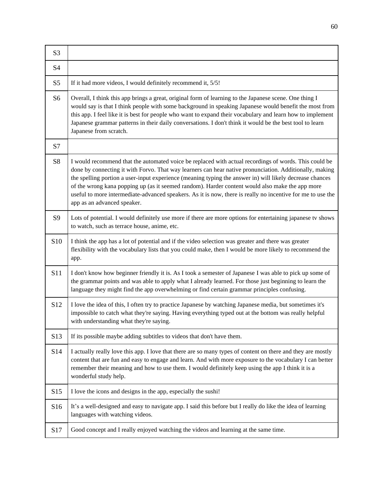| S <sub>3</sub> |                                                                                                                                                                                                                                                                                                                                                                                                                                                                                                                                                                               |
|----------------|-------------------------------------------------------------------------------------------------------------------------------------------------------------------------------------------------------------------------------------------------------------------------------------------------------------------------------------------------------------------------------------------------------------------------------------------------------------------------------------------------------------------------------------------------------------------------------|
| S <sub>4</sub> |                                                                                                                                                                                                                                                                                                                                                                                                                                                                                                                                                                               |
| S <sub>5</sub> | If it had more videos, I would definitely recommend it, 5/5!                                                                                                                                                                                                                                                                                                                                                                                                                                                                                                                  |
| S <sub>6</sub> | Overall, I think this app brings a great, original form of learning to the Japanese scene. One thing I<br>would say is that I think people with some background in speaking Japanese would benefit the most from<br>this app. I feel like it is best for people who want to expand their vocabulary and learn how to implement<br>Japanese grammar patterns in their daily conversations. I don't think it would be the best tool to learn<br>Japanese from scratch.                                                                                                          |
| S7             |                                                                                                                                                                                                                                                                                                                                                                                                                                                                                                                                                                               |
| S <sub>8</sub> | I would recommend that the automated voice be replaced with actual recordings of words. This could be<br>done by connecting it with Forvo. That way learners can hear native pronunciation. Additionally, making<br>the spelling portion a user-input experience (meaning typing the answer in) will likely decrease chances<br>of the wrong kana popping up (as it seemed random). Harder content would also make the app more<br>useful to more intermediate-advanced speakers. As it is now, there is really no incentive for me to use the<br>app as an advanced speaker. |
| S9             | Lots of potential. I would definitely use more if there are more options for entertaining japanese tv shows<br>to watch, such as terrace house, anime, etc.                                                                                                                                                                                                                                                                                                                                                                                                                   |
| S10            | I think the app has a lot of potential and if the video selection was greater and there was greater<br>flexibility with the vocabulary lists that you could make, then I would be more likely to recommend the<br>app.                                                                                                                                                                                                                                                                                                                                                        |
| S11            | I don't know how beginner friendly it is. As I took a semester of Japanese I was able to pick up some of<br>the grammar points and was able to apply what I already learned. For those just beginning to learn the<br>language they might find the app overwhelming or find certain grammar principles confusing.                                                                                                                                                                                                                                                             |
| S12            | I love the idea of this, I often try to practice Japanese by watching Japanese media, but sometimes it's<br>impossible to catch what they're saying. Having everything typed out at the bottom was really helpful<br>with understanding what they're saying.                                                                                                                                                                                                                                                                                                                  |
| S13            | If its possible maybe adding subtitles to videos that don't have them.                                                                                                                                                                                                                                                                                                                                                                                                                                                                                                        |
| S14            | I actually really love this app. I love that there are so many types of content on there and they are mostly<br>content that are fun and easy to engage and learn. And with more exposure to the vocabulary I can better<br>remember their meaning and how to use them. I would definitely keep using the app I think it is a<br>wonderful study help.                                                                                                                                                                                                                        |
| S15            | I love the icons and designs in the app, especially the sushi!                                                                                                                                                                                                                                                                                                                                                                                                                                                                                                                |
| S16            | It's a well-designed and easy to navigate app. I said this before but I really do like the idea of learning<br>languages with watching videos.                                                                                                                                                                                                                                                                                                                                                                                                                                |
| S17            | Good concept and I really enjoyed watching the videos and learning at the same time.                                                                                                                                                                                                                                                                                                                                                                                                                                                                                          |